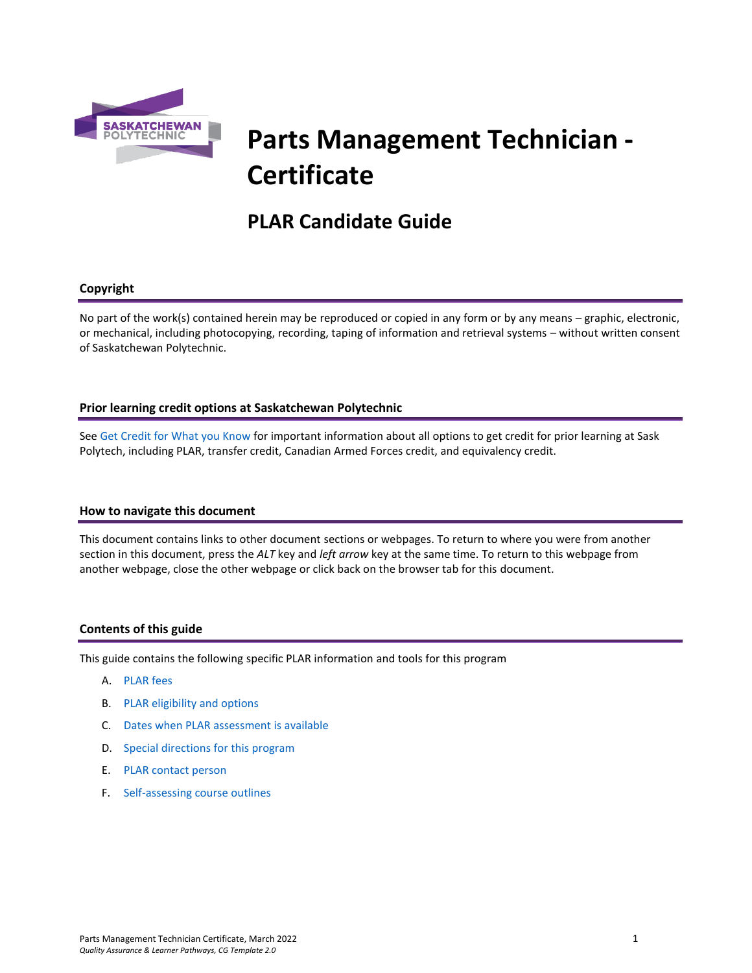

# **Parts Management Technician - Certificate**

## **PLAR Candidate Guide**

## **Copyright**

No part of the work(s) contained herein may be reproduced or copied in any form or by any means – graphic, electronic, or mechanical, including photocopying, recording, taping of information and retrieval systems – without written consent of Saskatchewan Polytechnic.

## **Prior learning credit options at Saskatchewan Polytechnic**

Se[e Get Credit for What you Know](https://saskpolytech.ca/admissions/get-credit/) for important information about all options to get credit for prior learning at Sask Polytech, including PLAR, transfer credit, Canadian Armed Forces credit, and equivalency credit.

## **How to navigate this document**

This document contains links to other document sections or webpages. To return to where you were from another section in this document, press the *ALT* key and *left arrow* key at the same time. To return to this webpage from another webpage, close the other webpage or click back on the browser tab for this document.

## **Contents of this guide**

This guide contains the following specific PLAR information and tools for this program

- A. [PLAR fees](#page-1-0)
- B. [PLAR eligibility and options](#page-1-1)
- C. [Dates when PLAR assessment is available](#page-1-2)
- D. [Special directions for this program](#page-1-3)
- E. PLAR [contact person](#page-2-0)
- F. Self-assessing [course outlines](#page-2-1)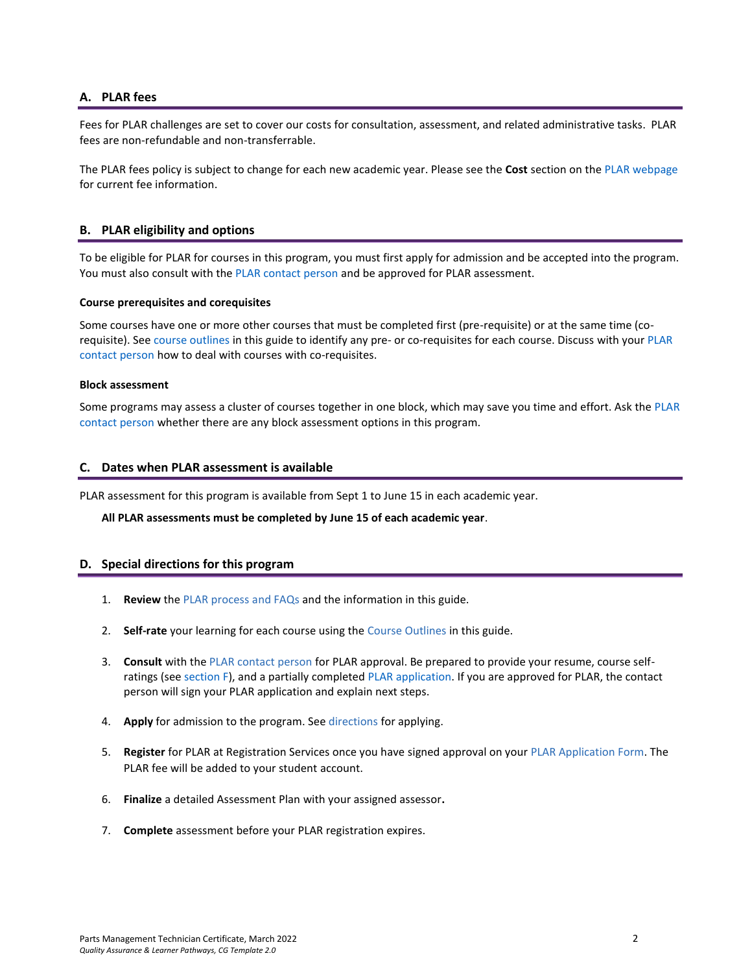## <span id="page-1-0"></span>**A. PLAR fees**

Fees for PLAR challenges are set to cover our costs for consultation, assessment, and related administrative tasks. PLAR fees are non-refundable and non-transferrable.

<span id="page-1-1"></span>The PLAR fees policy is subject to change for each new academic year. Please see the **Cost** section on th[e PLAR webpage](https://saskpolytech.ca/admissions/get-credit/plar.aspx) for current fee information.

## **B. PLAR eligibility and options**

To be eligible for PLAR for courses in this program, you must first apply for admission and be accepted into the program. You must also consult with th[e PLAR contact person](#page-2-0) and be approved for PLAR assessment.

#### **Course prerequisites and corequisites**

Some courses have one or more other courses that must be completed first (pre-requisite) or at the same time (corequisite). See course outlines in this guide to identify any pre- or co-requisites for each course. Discuss with you[r PLAR](#page-2-0)  [contact person](#page-2-0) how to deal with courses with co-requisites.

## **Block assessment**

<span id="page-1-2"></span>Some programs may assess a cluster of courses together in one block, which may save you time and effort. Ask the [PLAR](#page-2-0)  [contact person](#page-2-0) whether there are any block assessment options in this program.

## **C. Dates when PLAR assessment is available**

PLAR assessment for this program is available from Sept 1 to June 15 in each academic year.

<span id="page-1-3"></span>**All PLAR assessments must be completed by June 15 of each academic year**.

## **D. Special directions for this program**

- 1. **Review** the [PLAR process and FAQs](https://saskpolytech.ca/admissions/get-credit/plar.aspx) and the information in this guide.
- 2. **Self-rate** your learning for each course using the Course Outlines in this guide.
- 3. **Consult** with th[e PLAR contact person](#page-2-0) for PLAR approval. Be prepared to provide your resume, course selfratings (see section F), and a partially completed [PLAR application.](https://saskpolytech.ca/admissions/resources/documents/plar-application-form.pdf) If you are approved for PLAR, the contact person will sign your PLAR application and explain next steps.
- 4. **Apply** for admission to the program. Se[e directions](https://saskpolytech.ca/admissions/apply-and-register/apply-to-a-program.aspx) for applying.
- 5. **Register** for PLAR at Registration Services once you have signed approval on your [PLAR Application Form.](http://saskpolytech.ca/admissions/resources/documents/plar-application-form.pdf) The PLAR fee will be added to your student account.
- 6. **Finalize** a detailed Assessment Plan with your assigned assessor**.**
- 7. **Complete** assessment before your PLAR registration expires.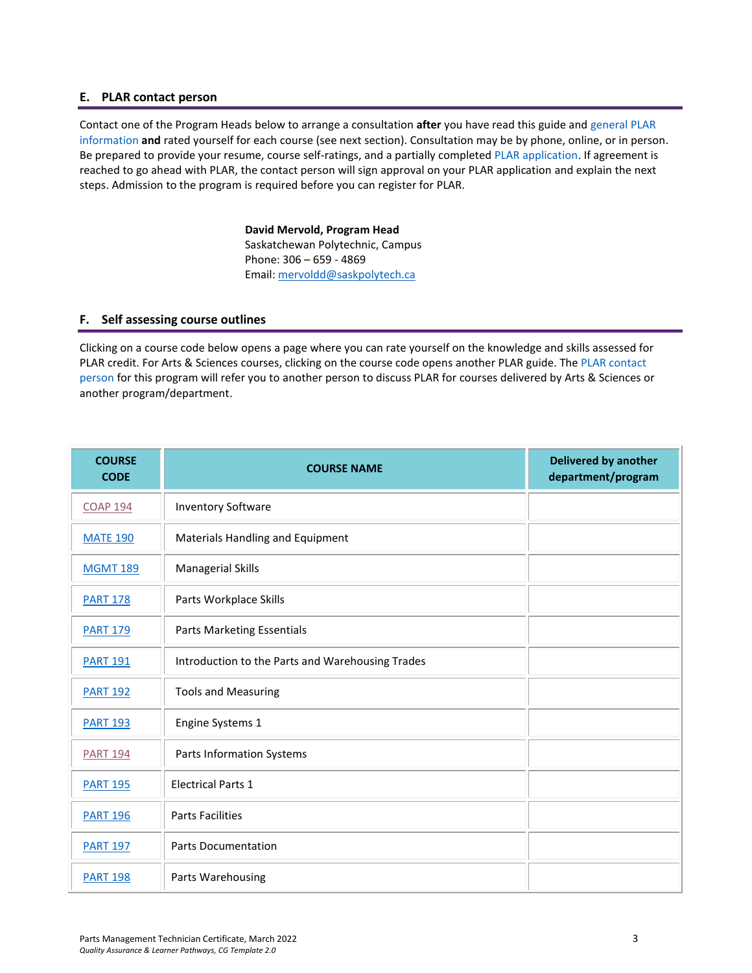## <span id="page-2-0"></span>**E. PLAR contact person**

Contact one of the Program Heads below to arrange a consultation **after** you have read this guide and [general PLAR](http://saskpolytech.ca/admissions/resources/prior-learning-process.aspx)  [information](http://saskpolytech.ca/admissions/resources/prior-learning-process.aspx) **and** rated yourself for each course (see next section). Consultation may be by phone, online, or in person. Be prepared to provide your resume, course self-ratings, and a partially complete[d PLAR application.](https://saskpolytech.ca/admissions/resources/documents/plar-application-form.pdf#search=PLAR%20application) If agreement is reached to go ahead with PLAR, the contact person will sign approval on your PLAR application and explain the next steps. Admission to the program is required before you can register for PLAR.

> **David Mervold, Program Head** Saskatchewan Polytechnic, Campus Phone: 306 – 659 - 4869 Email[: mervoldd@saskpolytech.ca](mailto:mervoldd@saskpolytech.ca)

## <span id="page-2-1"></span>**F. Self assessing course outlines**

Clicking on a course code below opens a page where you can rate yourself on the knowledge and skills assessed for PLAR credit. For Arts & Sciences courses, clicking on the course code opens another PLAR guide. The [PLAR contact](#page-2-0)  [person](#page-2-0) for this program will refer you to another person to discuss PLAR for courses delivered by Arts & Sciences or another program/department.

| <b>COURSE</b><br><b>CODE</b> | <b>COURSE NAME</b>                               | <b>Delivered by another</b><br>department/program |
|------------------------------|--------------------------------------------------|---------------------------------------------------|
| <b>COAP 194</b>              | <b>Inventory Software</b>                        |                                                   |
| <b>MATE 190</b>              | Materials Handling and Equipment                 |                                                   |
| <b>MGMT 189</b>              | <b>Managerial Skills</b>                         |                                                   |
| <b>PART 178</b>              | Parts Workplace Skills                           |                                                   |
| <b>PART 179</b>              | Parts Marketing Essentials                       |                                                   |
| <b>PART 191</b>              | Introduction to the Parts and Warehousing Trades |                                                   |
| <b>PART 192</b>              | <b>Tools and Measuring</b>                       |                                                   |
| <b>PART 193</b>              | Engine Systems 1                                 |                                                   |
| <b>PART 194</b>              | Parts Information Systems                        |                                                   |
| <b>PART 195</b>              | <b>Electrical Parts 1</b>                        |                                                   |
| <b>PART 196</b>              | <b>Parts Facilities</b>                          |                                                   |
| <b>PART 197</b>              | <b>Parts Documentation</b>                       |                                                   |
| <b>PART 198</b>              | Parts Warehousing                                |                                                   |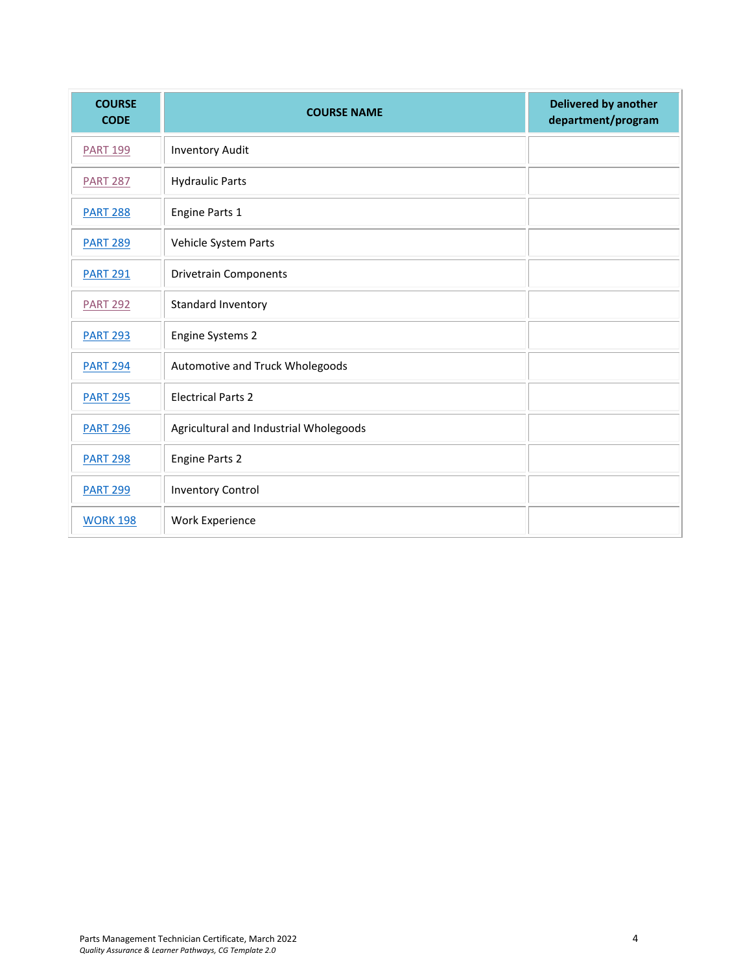| <b>COURSE</b><br><b>CODE</b> | <b>COURSE NAME</b>                     | <b>Delivered by another</b><br>department/program |
|------------------------------|----------------------------------------|---------------------------------------------------|
| <b>PART 199</b>              | <b>Inventory Audit</b>                 |                                                   |
| <b>PART 287</b>              | <b>Hydraulic Parts</b>                 |                                                   |
| <b>PART 288</b>              | Engine Parts 1                         |                                                   |
| <b>PART 289</b>              | Vehicle System Parts                   |                                                   |
| <b>PART 291</b>              | <b>Drivetrain Components</b>           |                                                   |
| <b>PART 292</b>              | Standard Inventory                     |                                                   |
| <b>PART 293</b>              | <b>Engine Systems 2</b>                |                                                   |
| <b>PART 294</b>              | Automotive and Truck Wholegoods        |                                                   |
| <b>PART 295</b>              | <b>Electrical Parts 2</b>              |                                                   |
| <b>PART 296</b>              | Agricultural and Industrial Wholegoods |                                                   |
| <b>PART 298</b>              | <b>Engine Parts 2</b>                  |                                                   |
| <b>PART 299</b>              | <b>Inventory Control</b>               |                                                   |
| <b>WORK 198</b>              | Work Experience                        |                                                   |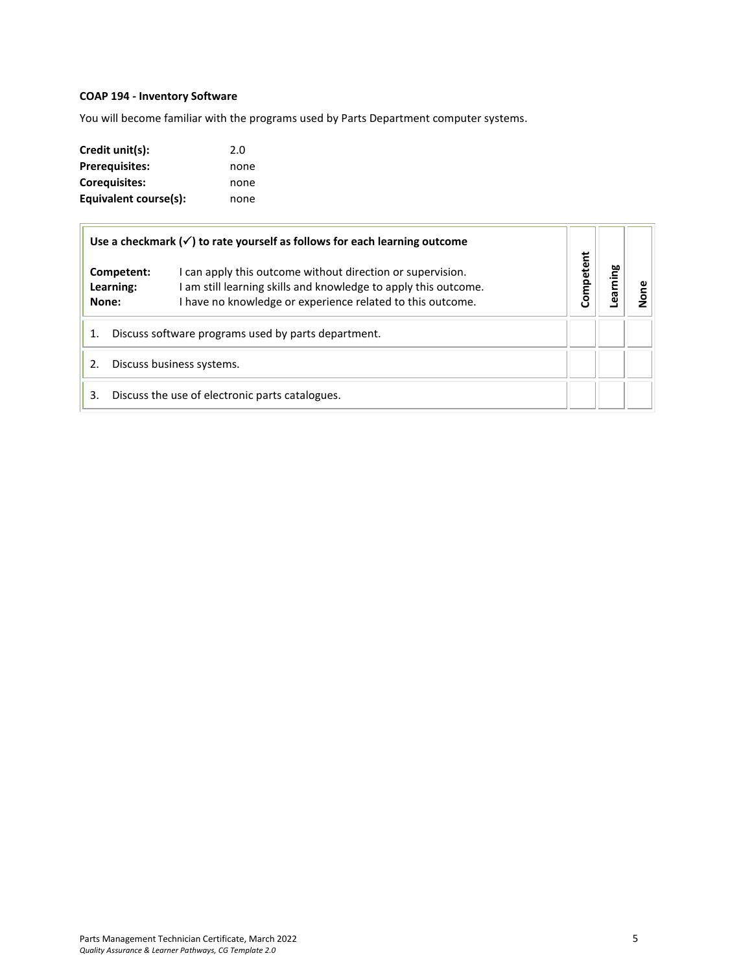## <span id="page-4-0"></span>**COAP 194 - Inventory Software**

You will become familiar with the programs used by Parts Department computer systems.

| Credit unit(s):       | 2.0  |
|-----------------------|------|
| <b>Prerequisites:</b> | none |
| Corequisites:         | none |
| Equivalent course(s): | none |

 $\overline{a}$ 

|    |                                                                                                                                                                                                                             | Use a checkmark $(\checkmark)$ to rate yourself as follows for each learning outcome |           |         |  |
|----|-----------------------------------------------------------------------------------------------------------------------------------------------------------------------------------------------------------------------------|--------------------------------------------------------------------------------------|-----------|---------|--|
|    | can apply this outcome without direction or supervision.<br>Competent:<br>am still learning skills and knowledge to apply this outcome.<br>Learning:<br>I have no knowledge or experience related to this outcome.<br>None: |                                                                                      | Competent | earning |  |
| 1. | Discuss software programs used by parts department.                                                                                                                                                                         |                                                                                      |           |         |  |
| 2. | Discuss business systems.                                                                                                                                                                                                   |                                                                                      |           |         |  |
| 3. |                                                                                                                                                                                                                             | Discuss the use of electronic parts catalogues.                                      |           |         |  |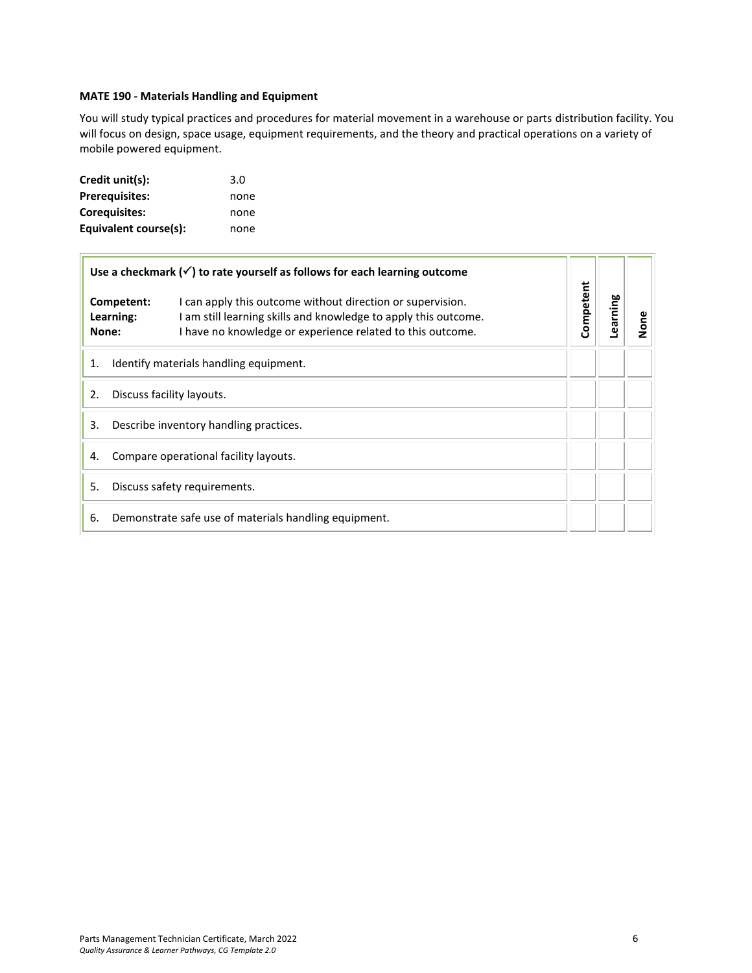## <span id="page-5-0"></span>**MATE 190 - Materials Handling and Equipment**

You will study typical practices and procedures for material movement in a warehouse or parts distribution facility. You will focus on design, space usage, equipment requirements, and the theory and practical operations on a variety of mobile powered equipment.

| Credit unit(s):       | 3.0  |
|-----------------------|------|
| <b>Prerequisites:</b> | none |
| Corequisites:         | none |
| Equivalent course(s): | none |

 $\overline{1}$ 

|                                              |                                        | Use a checkmark $(\checkmark)$ to rate yourself as follows for each learning outcome                                                                                                        |           |          |      |
|----------------------------------------------|----------------------------------------|---------------------------------------------------------------------------------------------------------------------------------------------------------------------------------------------|-----------|----------|------|
| None:                                        | Competent:<br>Learning:                | I can apply this outcome without direction or supervision.<br>I am still learning skills and knowledge to apply this outcome.<br>I have no knowledge or experience related to this outcome. | Competent | Learning | None |
| 1.                                           | Identify materials handling equipment. |                                                                                                                                                                                             |           |          |      |
| 2.<br>Discuss facility layouts.              |                                        |                                                                                                                                                                                             |           |          |      |
| Describe inventory handling practices.<br>3. |                                        |                                                                                                                                                                                             |           |          |      |
| Compare operational facility layouts.<br>4.  |                                        |                                                                                                                                                                                             |           |          |      |
| 5.<br>Discuss safety requirements.           |                                        |                                                                                                                                                                                             |           |          |      |
| 6.                                           |                                        | Demonstrate safe use of materials handling equipment.                                                                                                                                       |           |          |      |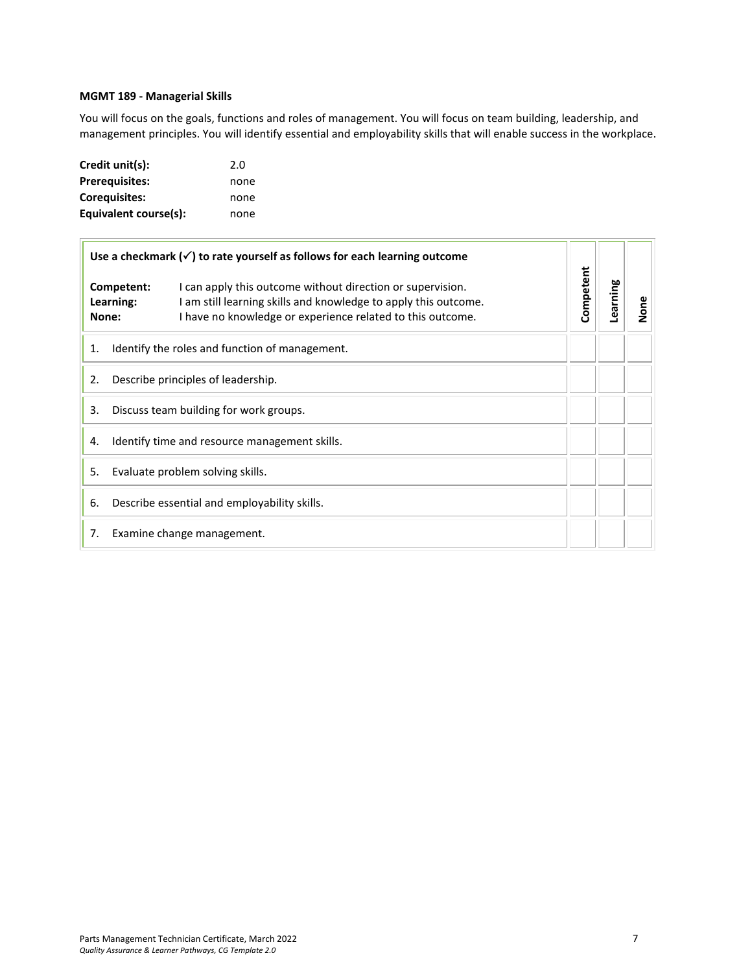## <span id="page-6-0"></span>**MGMT 189 - Managerial Skills**

You will focus on the goals, functions and roles of management. You will focus on team building, leadership, and management principles. You will identify essential and employability skills that will enable success in the workplace.

| Credit unit(s):       | 2.0  |
|-----------------------|------|
| <b>Prerequisites:</b> | none |
| <b>Corequisites:</b>  | none |
| Equivalent course(s): | none |

|                                                     |                         | Use a checkmark $(\checkmark)$ to rate yourself as follows for each learning outcome                                                                                                        |           |          |      |
|-----------------------------------------------------|-------------------------|---------------------------------------------------------------------------------------------------------------------------------------------------------------------------------------------|-----------|----------|------|
| None:                                               | Competent:<br>Learning: | I can apply this outcome without direction or supervision.<br>I am still learning skills and knowledge to apply this outcome.<br>I have no knowledge or experience related to this outcome. | Competent | Learning | None |
| 1.                                                  |                         | Identify the roles and function of management.                                                                                                                                              |           |          |      |
| Describe principles of leadership.<br>2.            |                         |                                                                                                                                                                                             |           |          |      |
| Discuss team building for work groups.<br>3.        |                         |                                                                                                                                                                                             |           |          |      |
| Identify time and resource management skills.<br>4. |                         |                                                                                                                                                                                             |           |          |      |
| Evaluate problem solving skills.<br>5.              |                         |                                                                                                                                                                                             |           |          |      |
| 6.                                                  |                         | Describe essential and employability skills.                                                                                                                                                |           |          |      |
| 7.                                                  |                         | Examine change management.                                                                                                                                                                  |           |          |      |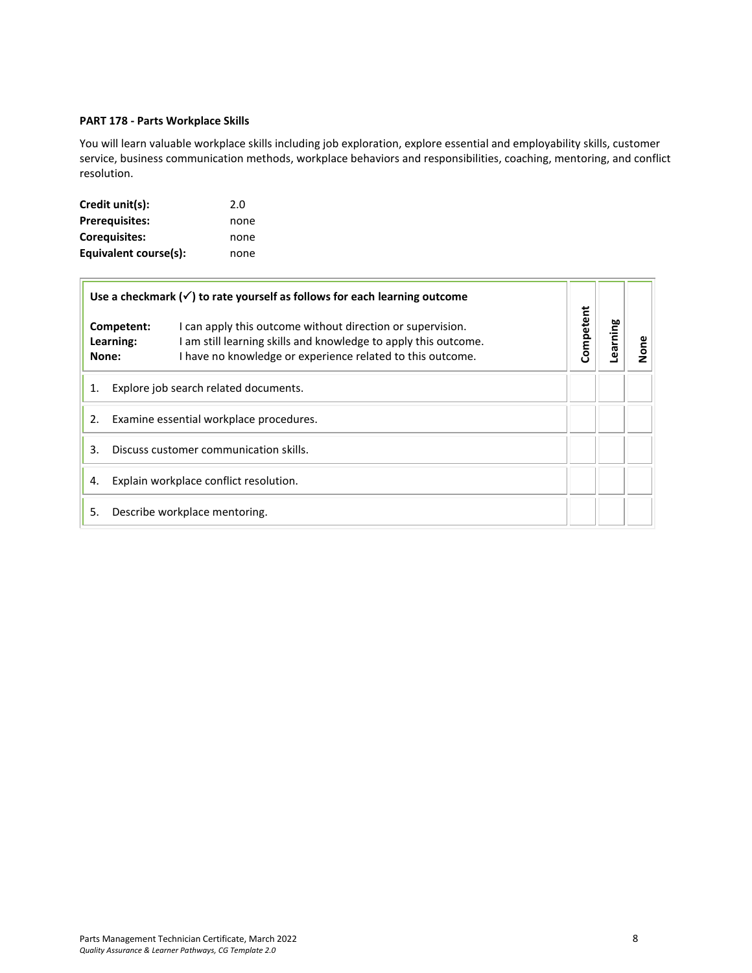## <span id="page-7-0"></span>**PART 178 - Parts Workplace Skills**

You will learn valuable workplace skills including job exploration, explore essential and employability skills, customer service, business communication methods, workplace behaviors and responsibilities, coaching, mentoring, and conflict resolution.

| Credit unit(s):       | 2.0  |
|-----------------------|------|
| <b>Prerequisites:</b> | none |
| <b>Corequisites:</b>  | none |
| Equivalent course(s): | none |

 $\overline{1}$ 

|                                              |                                         | Use a checkmark $(\checkmark)$ to rate yourself as follows for each learning outcome                                                                                                        | Competent |         |      |
|----------------------------------------------|-----------------------------------------|---------------------------------------------------------------------------------------------------------------------------------------------------------------------------------------------|-----------|---------|------|
|                                              | Competent:<br>Learning:<br>None:        | I can apply this outcome without direction or supervision.<br>I am still learning skills and knowledge to apply this outcome.<br>I have no knowledge or experience related to this outcome. |           | earning | None |
| Explore job search related documents.<br>1.  |                                         |                                                                                                                                                                                             |           |         |      |
| 2.                                           | Examine essential workplace procedures. |                                                                                                                                                                                             |           |         |      |
| Discuss customer communication skills.<br>3. |                                         |                                                                                                                                                                                             |           |         |      |
| Explain workplace conflict resolution.<br>4. |                                         |                                                                                                                                                                                             |           |         |      |
| 5.                                           |                                         | Describe workplace mentoring.                                                                                                                                                               |           |         |      |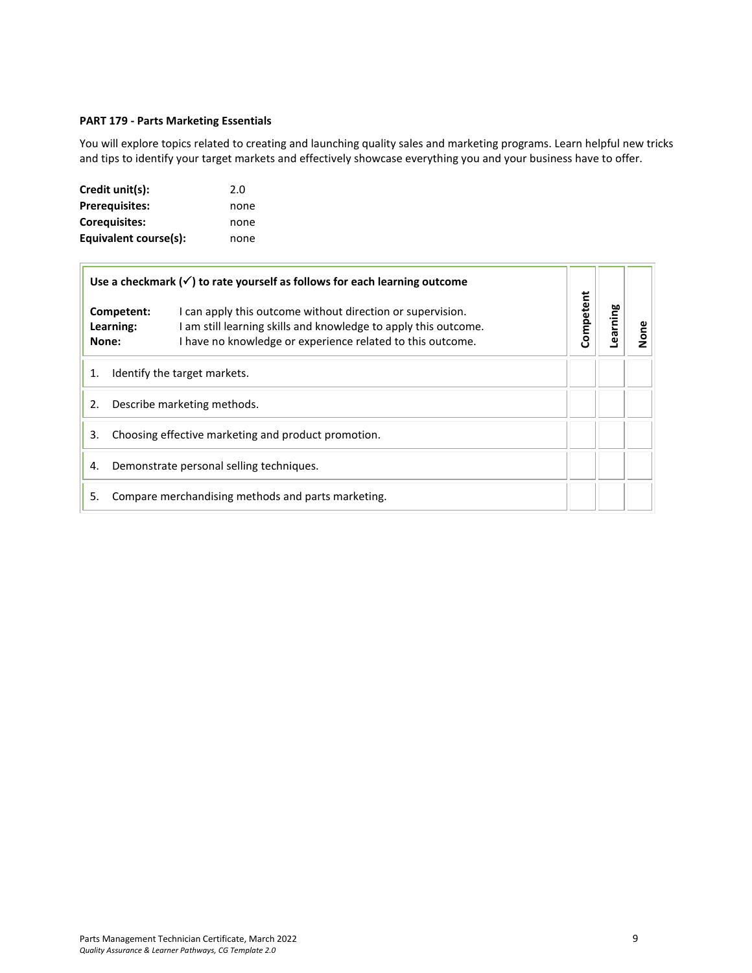## <span id="page-8-0"></span>**PART 179 - Parts Marketing Essentials**

You will explore topics related to creating and launching quality sales and marketing programs. Learn helpful new tricks and tips to identify your target markets and effectively showcase everything you and your business have to offer.

| Credit unit(s):       | 2.0  |
|-----------------------|------|
| <b>Prerequisites:</b> | none |
| <b>Corequisites:</b>  | none |
| Equivalent course(s): | none |

|                                                           |                                  | Use a checkmark $(\checkmark)$ to rate yourself as follows for each learning outcome                                                                                                        |           |         |      |
|-----------------------------------------------------------|----------------------------------|---------------------------------------------------------------------------------------------------------------------------------------------------------------------------------------------|-----------|---------|------|
|                                                           | Competent:<br>Learning:<br>None: | I can apply this outcome without direction or supervision.<br>I am still learning skills and knowledge to apply this outcome.<br>I have no knowledge or experience related to this outcome. | Competent | earning | None |
| 1.                                                        |                                  | Identify the target markets.                                                                                                                                                                |           |         |      |
| 2.                                                        | Describe marketing methods.      |                                                                                                                                                                                             |           |         |      |
| Choosing effective marketing and product promotion.<br>3. |                                  |                                                                                                                                                                                             |           |         |      |
| Demonstrate personal selling techniques.<br>4.            |                                  |                                                                                                                                                                                             |           |         |      |
| 5.                                                        |                                  | Compare merchandising methods and parts marketing.                                                                                                                                          |           |         |      |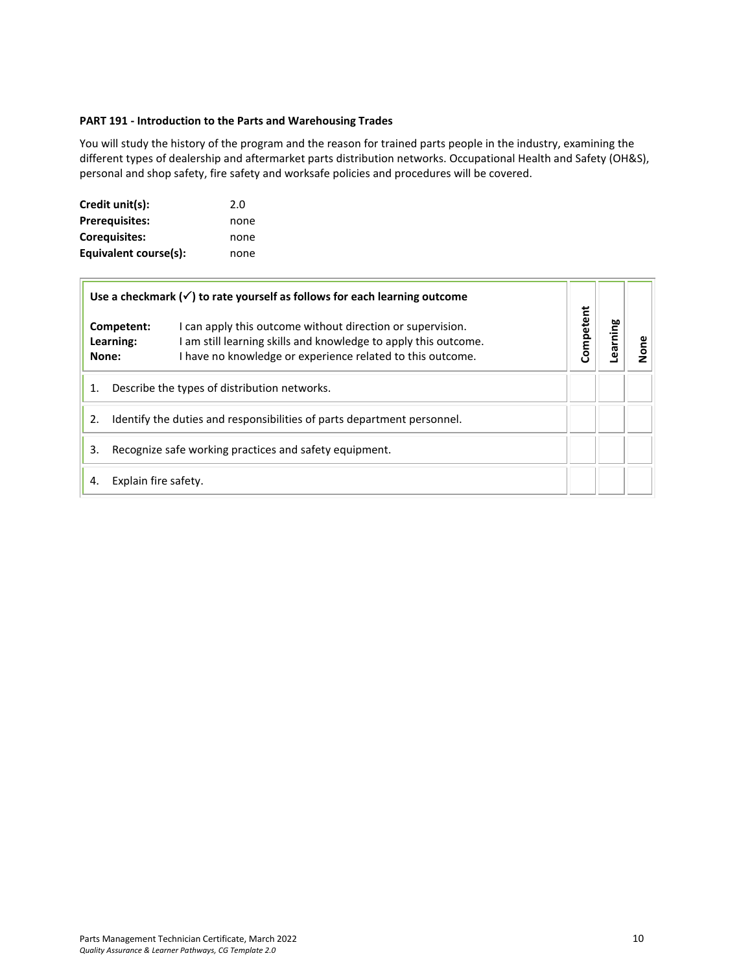## <span id="page-9-0"></span>**PART 191 - Introduction to the Parts and Warehousing Trades**

You will study the history of the program and the reason for trained parts people in the industry, examining the different types of dealership and aftermarket parts distribution networks. Occupational Health and Safety (OH&S), personal and shop safety, fire safety and worksafe policies and procedures will be covered.

| Credit unit(s):       | 2.0  |
|-----------------------|------|
| <b>Prerequisites:</b> | none |
| Corequisites:         | none |
| Equivalent course(s): | none |

 $\overline{r}$ 

| Use a checkmark $(\checkmark)$ to rate yourself as follows for each learning outcome |                                              |                                                                                                                                                                                             |           |         |     |
|--------------------------------------------------------------------------------------|----------------------------------------------|---------------------------------------------------------------------------------------------------------------------------------------------------------------------------------------------|-----------|---------|-----|
| Competent:<br>Learning:<br>None:                                                     |                                              | I can apply this outcome without direction or supervision.<br>I am still learning skills and knowledge to apply this outcome.<br>I have no knowledge or experience related to this outcome. | Competent | earning | gne |
| 1.                                                                                   | Describe the types of distribution networks. |                                                                                                                                                                                             |           |         |     |
| Identify the duties and responsibilities of parts department personnel.<br>2.        |                                              |                                                                                                                                                                                             |           |         |     |
| Recognize safe working practices and safety equipment.<br>3.                         |                                              |                                                                                                                                                                                             |           |         |     |
| 4.                                                                                   | Explain fire safety.                         |                                                                                                                                                                                             |           |         |     |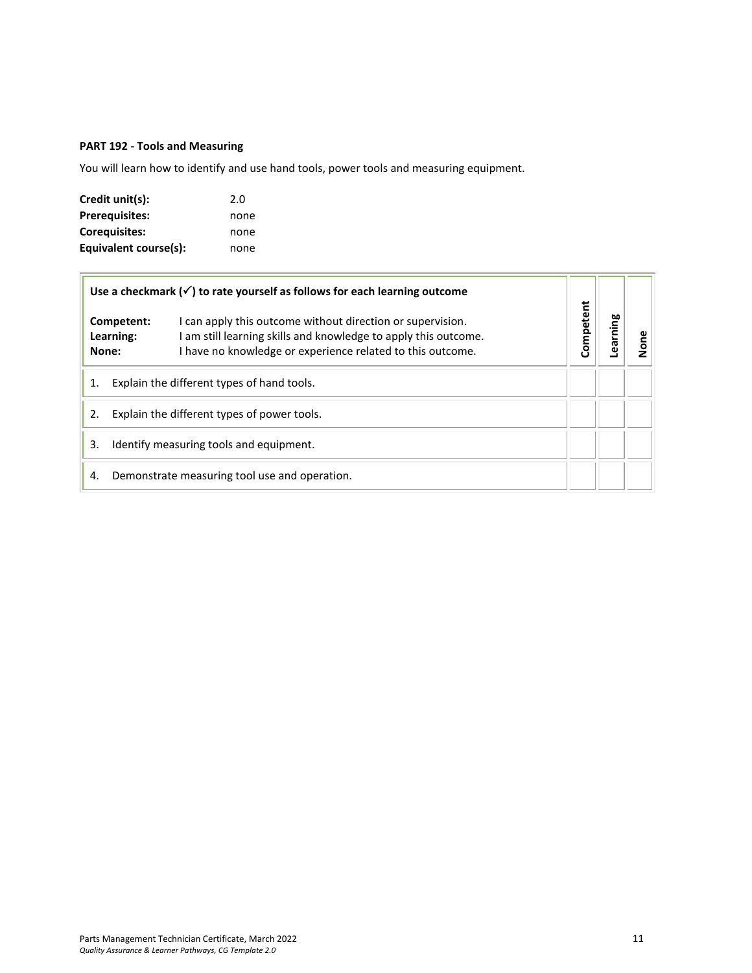## <span id="page-10-0"></span>**PART 192 - Tools and Measuring**

You will learn how to identify and use hand tools, power tools and measuring equipment.

| Credit unit(s):       | 2.0  |
|-----------------------|------|
| <b>Prerequisites:</b> | none |
| <b>Corequisites:</b>  | none |
| Equivalent course(s): | none |

|                                                   | Use a checkmark $(\checkmark)$ to rate yourself as follows for each learning outcome |                                                                                                                                                                                             |           |         |          |
|---------------------------------------------------|--------------------------------------------------------------------------------------|---------------------------------------------------------------------------------------------------------------------------------------------------------------------------------------------|-----------|---------|----------|
| Competent:<br>Learning:<br>None:                  |                                                                                      | I can apply this outcome without direction or supervision.<br>I am still learning skills and knowledge to apply this outcome.<br>I have no knowledge or experience related to this outcome. | Competent | earning | <b>a</b> |
| 1.                                                | Explain the different types of hand tools.                                           |                                                                                                                                                                                             |           |         |          |
| Explain the different types of power tools.<br>2. |                                                                                      |                                                                                                                                                                                             |           |         |          |
| 3.                                                | Identify measuring tools and equipment.                                              |                                                                                                                                                                                             |           |         |          |
| 4.                                                |                                                                                      | Demonstrate measuring tool use and operation.                                                                                                                                               |           |         |          |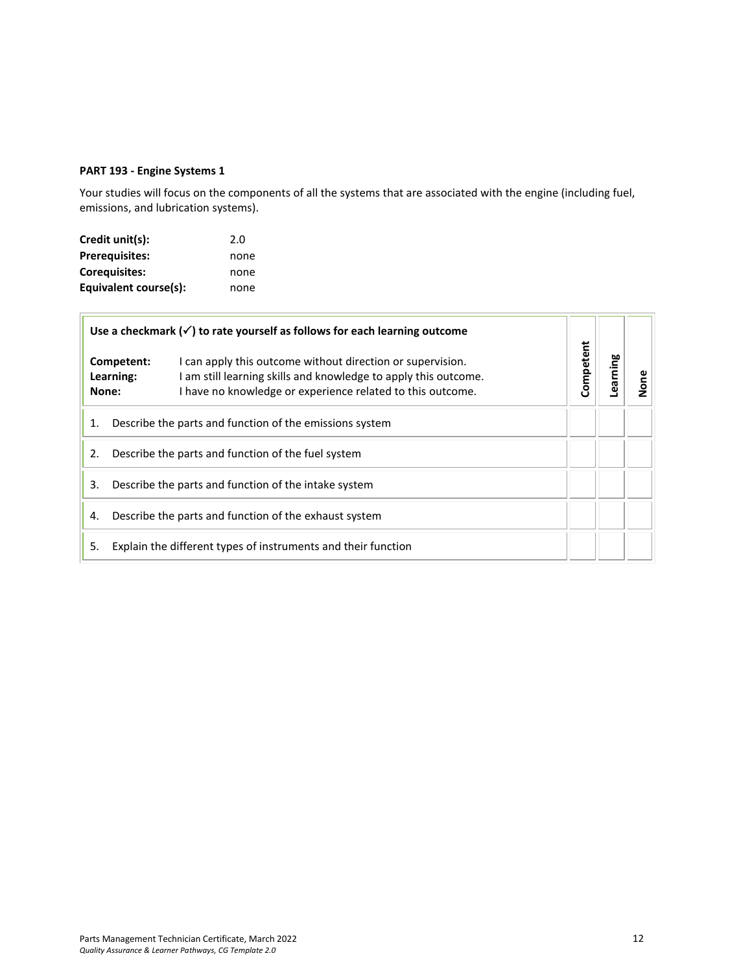## <span id="page-11-0"></span>**PART 193 - Engine Systems 1**

Your studies will focus on the components of all the systems that are associated with the engine (including fuel, emissions, and lubrication systems).

| Credit unit(s):       | 2.0  |
|-----------------------|------|
| Prerequisites:        | none |
| Corequisites:         | none |
| Equivalent course(s): | none |

| Use a checkmark $(\checkmark)$ to rate yourself as follows for each learning outcome |                                                                                                                                                                                                                                 |           |         |  |
|--------------------------------------------------------------------------------------|---------------------------------------------------------------------------------------------------------------------------------------------------------------------------------------------------------------------------------|-----------|---------|--|
|                                                                                      | I can apply this outcome without direction or supervision.<br>Competent:<br>I am still learning skills and knowledge to apply this outcome.<br>Learning:<br>I have no knowledge or experience related to this outcome.<br>None: | Competent | earning |  |
| Describe the parts and function of the emissions system<br>1.                        |                                                                                                                                                                                                                                 |           |         |  |
| 2.<br>Describe the parts and function of the fuel system                             |                                                                                                                                                                                                                                 |           |         |  |
| 3.<br>Describe the parts and function of the intake system                           |                                                                                                                                                                                                                                 |           |         |  |
| Describe the parts and function of the exhaust system<br>4.                          |                                                                                                                                                                                                                                 |           |         |  |
| 5.                                                                                   | Explain the different types of instruments and their function                                                                                                                                                                   |           |         |  |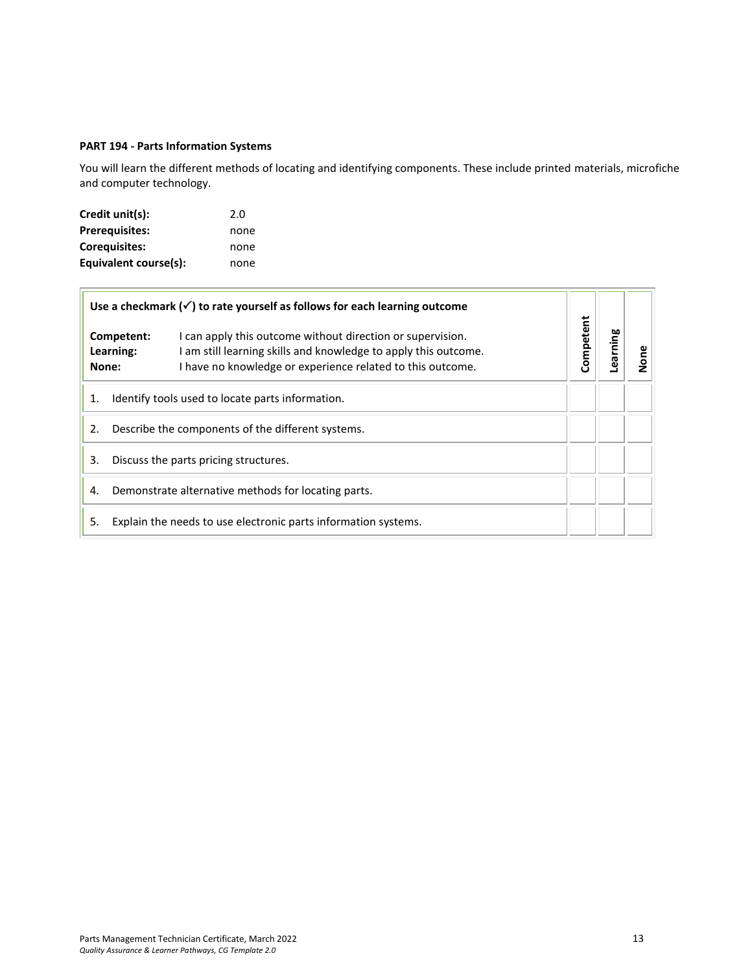## <span id="page-12-0"></span>**PART 194 - Parts Information Systems**

You will learn the different methods of locating and identifying components. These include printed materials, microfiche and computer technology.

| Credit unit(s):       | 2.0  |
|-----------------------|------|
| <b>Prerequisites:</b> | none |
| Coreguisites:         | none |
| Equivalent course(s): | none |

| Use a checkmark $(\checkmark)$ to rate yourself as follows for each learning outcome |                                                                                                                                                                                                                               | Competent |         |      |
|--------------------------------------------------------------------------------------|-------------------------------------------------------------------------------------------------------------------------------------------------------------------------------------------------------------------------------|-----------|---------|------|
|                                                                                      | I can apply this outcome without direction or supervision.<br>Competent:<br>am still learning skills and knowledge to apply this outcome.<br>Learning:<br>I have no knowledge or experience related to this outcome.<br>None: |           | earning | None |
| Identify tools used to locate parts information.<br>1.                               |                                                                                                                                                                                                                               |           |         |      |
| Describe the components of the different systems.<br>2.                              |                                                                                                                                                                                                                               |           |         |      |
| Discuss the parts pricing structures.<br>3.                                          |                                                                                                                                                                                                                               |           |         |      |
| Demonstrate alternative methods for locating parts.<br>4.                            |                                                                                                                                                                                                                               |           |         |      |
| 5.                                                                                   | Explain the needs to use electronic parts information systems.                                                                                                                                                                |           |         |      |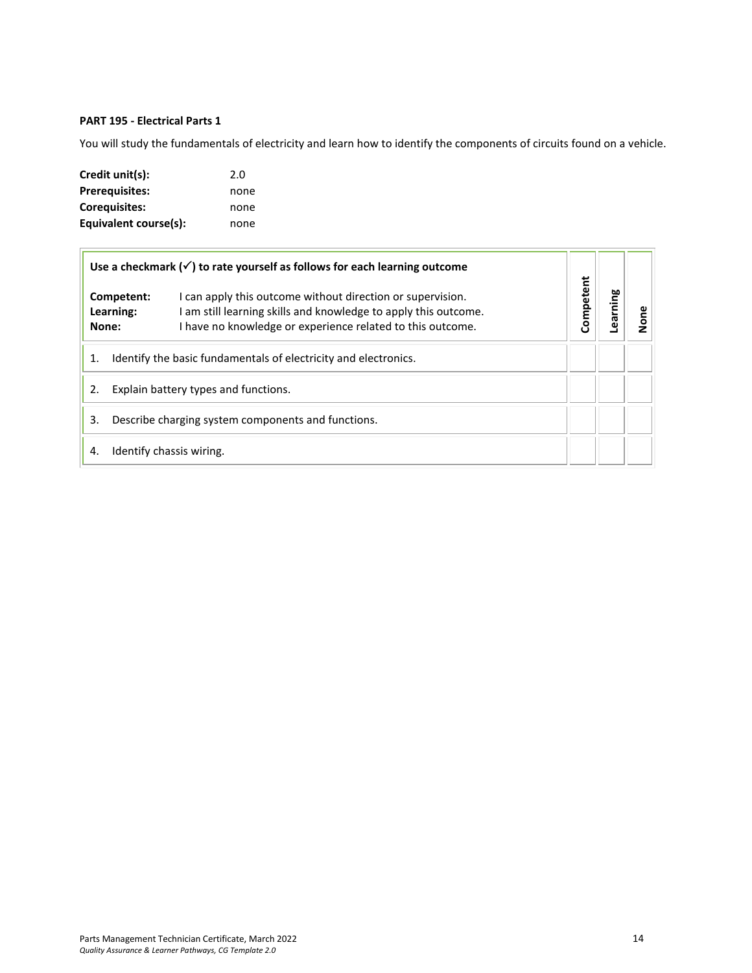## <span id="page-13-0"></span>**PART 195 - Electrical Parts 1**

You will study the fundamentals of electricity and learn how to identify the components of circuits found on a vehicle.

| Credit unit(s):       | 2.0  |
|-----------------------|------|
| <b>Prerequisites:</b> | none |
| <b>Corequisites:</b>  | none |
| Equivalent course(s): | none |

| Use a checkmark $(\checkmark)$ to rate yourself as follows for each learning outcome |                                                                                                                                                                                             |           |         |      |
|--------------------------------------------------------------------------------------|---------------------------------------------------------------------------------------------------------------------------------------------------------------------------------------------|-----------|---------|------|
| Competent:<br>Learning:<br>None:                                                     | I can apply this outcome without direction or supervision.<br>I am still learning skills and knowledge to apply this outcome.<br>I have no knowledge or experience related to this outcome. | Competent | earning | None |
| Identify the basic fundamentals of electricity and electronics.<br>1.                |                                                                                                                                                                                             |           |         |      |
| Explain battery types and functions.                                                 |                                                                                                                                                                                             |           |         |      |
| Describe charging system components and functions.<br>3.                             |                                                                                                                                                                                             |           |         |      |
| 4.                                                                                   | Identify chassis wiring.                                                                                                                                                                    |           |         |      |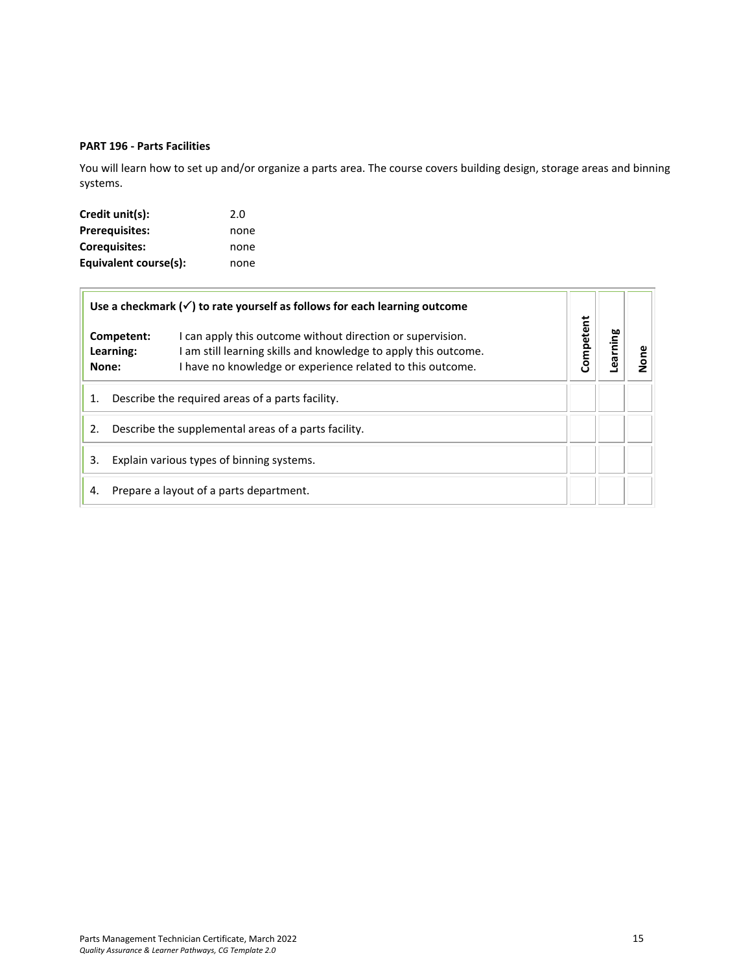## <span id="page-14-0"></span>**PART 196 - Parts Facilities**

You will learn how to set up and/or organize a parts area. The course covers building design, storage areas and binning systems.

| Credit unit(s):       | 2.0  |
|-----------------------|------|
| <b>Prerequisites:</b> | none |
| <b>Corequisites:</b>  | none |
| Equivalent course(s): | none |

| Use a checkmark $(\checkmark)$ to rate yourself as follows for each learning outcome |                                                  |                                                                                                                                                                                             |           |        |  |
|--------------------------------------------------------------------------------------|--------------------------------------------------|---------------------------------------------------------------------------------------------------------------------------------------------------------------------------------------------|-----------|--------|--|
|                                                                                      | Competent:<br>Learning:<br>None:                 | I can apply this outcome without direction or supervision.<br>I am still learning skills and knowledge to apply this outcome.<br>I have no knowledge or experience related to this outcome. | Competent | arning |  |
|                                                                                      | Describe the required areas of a parts facility. |                                                                                                                                                                                             |           |        |  |
| Describe the supplemental areas of a parts facility.<br>2.                           |                                                  |                                                                                                                                                                                             |           |        |  |
| 3.<br>Explain various types of binning systems.                                      |                                                  |                                                                                                                                                                                             |           |        |  |
| 4.                                                                                   | Prepare a layout of a parts department.          |                                                                                                                                                                                             |           |        |  |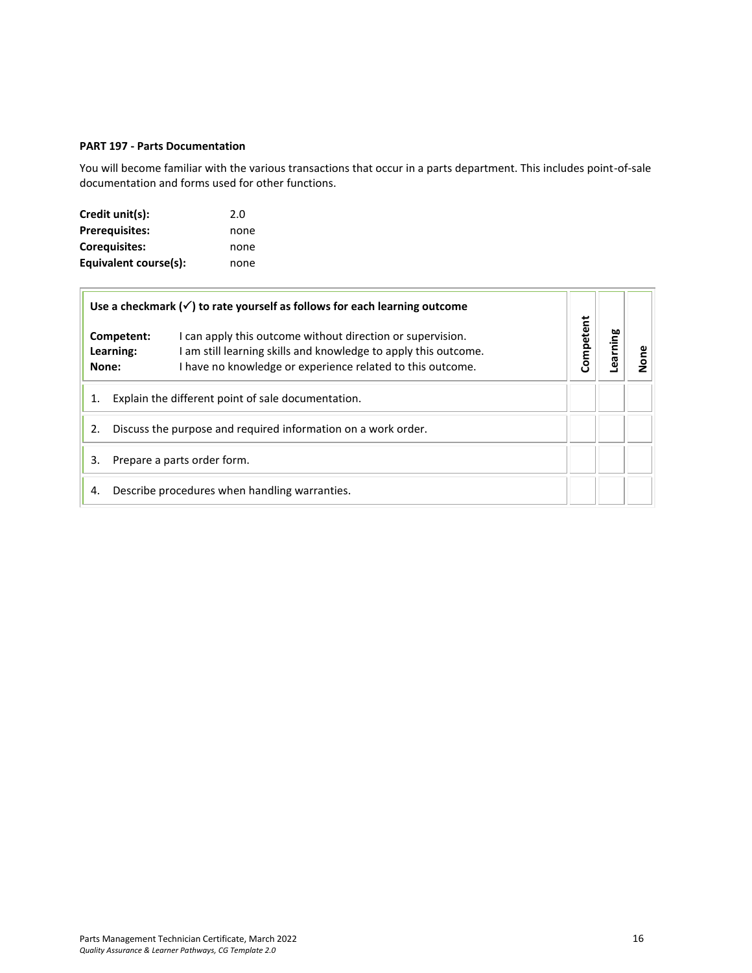#### <span id="page-15-0"></span>**PART 197 - Parts Documentation**

You will become familiar with the various transactions that occur in a parts department. This includes point-of-sale documentation and forms used for other functions.

| Credit unit(s):       | 2.0  |
|-----------------------|------|
| <b>Prerequisites:</b> | none |
| Coreguisites:         | none |
| Equivalent course(s): | none |

|    | Use a checkmark $(\checkmark)$ to rate yourself as follows for each learning outcome                                                                                                                                          |           |        |  |
|----|-------------------------------------------------------------------------------------------------------------------------------------------------------------------------------------------------------------------------------|-----------|--------|--|
|    | I can apply this outcome without direction or supervision.<br>Competent:<br>am still learning skills and knowledge to apply this outcome.<br>Learning:<br>I have no knowledge or experience related to this outcome.<br>None: | Competent | arning |  |
| 1. | Explain the different point of sale documentation.                                                                                                                                                                            |           |        |  |
| 2. | Discuss the purpose and required information on a work order.                                                                                                                                                                 |           |        |  |
| 3. | Prepare a parts order form.                                                                                                                                                                                                   |           |        |  |
| 4. | Describe procedures when handling warranties.                                                                                                                                                                                 |           |        |  |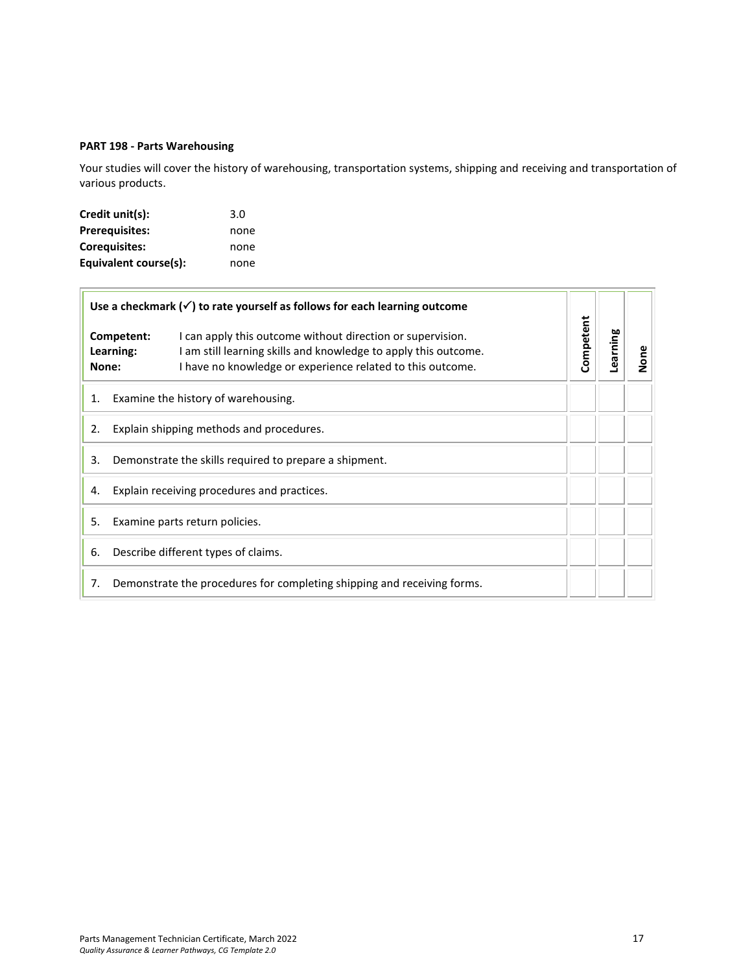## <span id="page-16-0"></span>**PART 198 - Parts Warehousing**

Your studies will cover the history of warehousing, transportation systems, shipping and receiving and transportation of various products.

| Credit unit(s):       | 3.0  |
|-----------------------|------|
| <b>Prerequisites:</b> | none |
| <b>Corequisites:</b>  | none |
| Equivalent course(s): | none |

|       |                                          | Use a checkmark $(\checkmark)$ to rate yourself as follows for each learning outcome                                                                                                        |           |          |      |
|-------|------------------------------------------|---------------------------------------------------------------------------------------------------------------------------------------------------------------------------------------------|-----------|----------|------|
| None: | Competent:<br>Learning:                  | I can apply this outcome without direction or supervision.<br>I am still learning skills and knowledge to apply this outcome.<br>I have no knowledge or experience related to this outcome. | Competent | Learning | None |
| 1.    |                                          | Examine the history of warehousing.                                                                                                                                                         |           |          |      |
| 2.    | Explain shipping methods and procedures. |                                                                                                                                                                                             |           |          |      |
| 3.    |                                          | Demonstrate the skills required to prepare a shipment.                                                                                                                                      |           |          |      |
| 4.    |                                          | Explain receiving procedures and practices.                                                                                                                                                 |           |          |      |
| 5.    |                                          | Examine parts return policies.                                                                                                                                                              |           |          |      |
| 6.    |                                          | Describe different types of claims.                                                                                                                                                         |           |          |      |
| 7.    |                                          | Demonstrate the procedures for completing shipping and receiving forms.                                                                                                                     |           |          |      |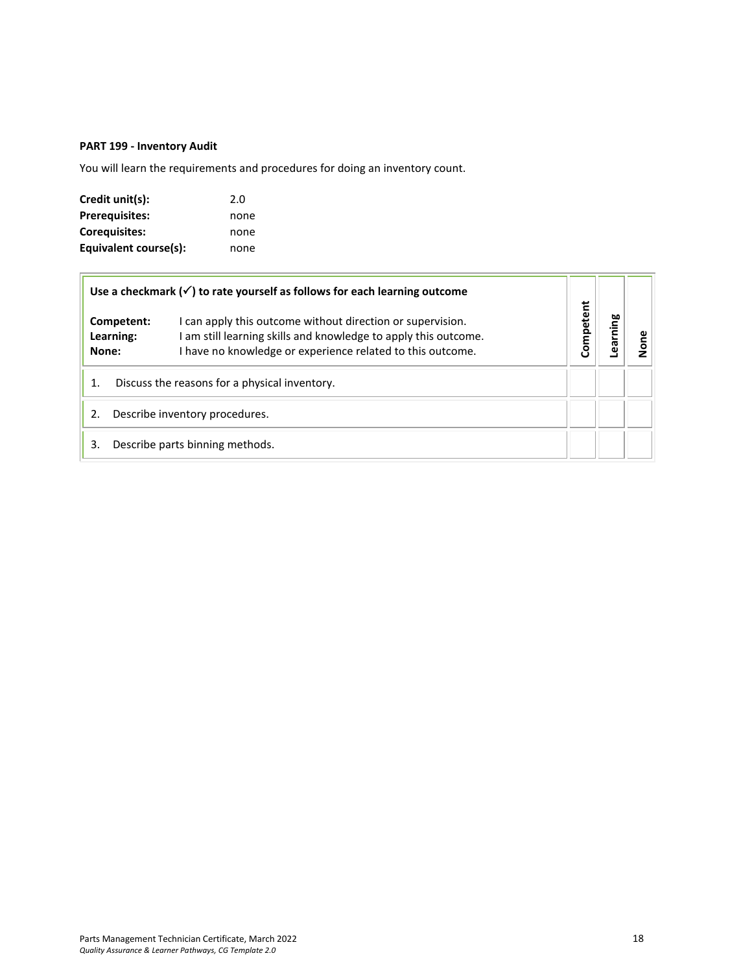## <span id="page-17-0"></span>**PART 199 - Inventory Audit**

You will learn the requirements and procedures for doing an inventory count.

| Credit unit(s):       | 2.0  |
|-----------------------|------|
| <b>Prerequisites:</b> | none |
| <b>Corequisites:</b>  | none |
| Equivalent course(s): | none |

|                    |                                | Use a checkmark $(\checkmark)$ to rate yourself as follows for each learning outcome                                                                                                        |           |             |  |
|--------------------|--------------------------------|---------------------------------------------------------------------------------------------------------------------------------------------------------------------------------------------|-----------|-------------|--|
| Learning:<br>None: | Competent:                     | I can apply this outcome without direction or supervision.<br>I am still learning skills and knowledge to apply this outcome.<br>I have no knowledge or experience related to this outcome. | Competent | ೲ<br>آ<br>E |  |
| 1.                 |                                | Discuss the reasons for a physical inventory.                                                                                                                                               |           |             |  |
| 2.                 | Describe inventory procedures. |                                                                                                                                                                                             |           |             |  |
| 3.                 |                                | Describe parts binning methods.                                                                                                                                                             |           |             |  |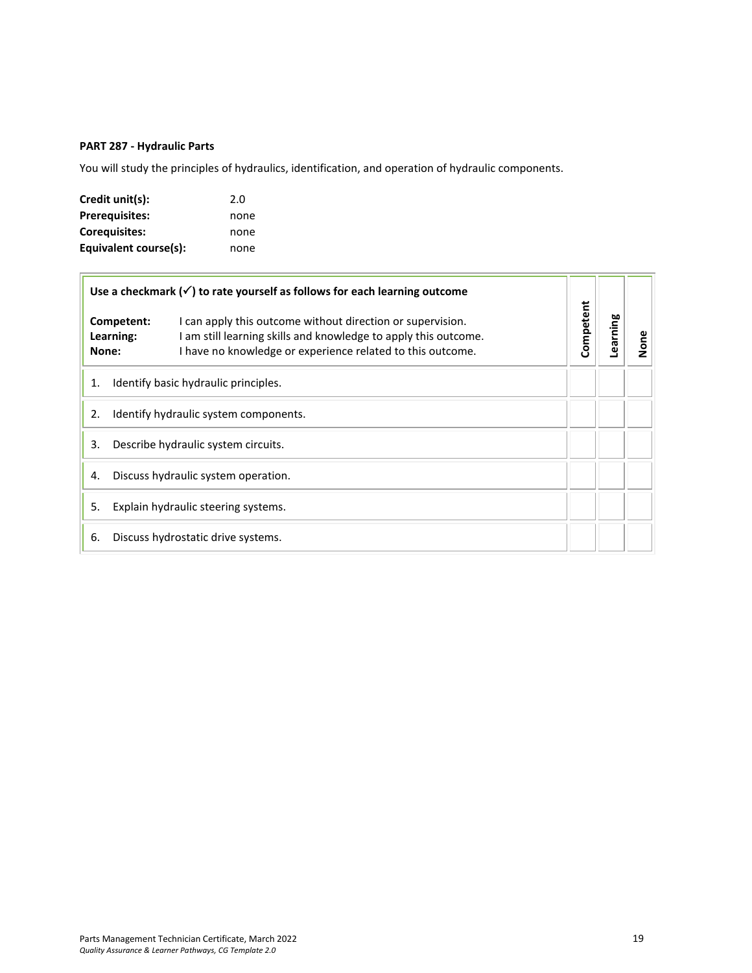## <span id="page-18-0"></span>**PART 287 - Hydraulic Parts**

You will study the principles of hydraulics, identification, and operation of hydraulic components.

| Credit unit(s):       | 2.0  |
|-----------------------|------|
| Prerequisites:        | none |
| Corequisites:         | none |
| Equivalent course(s): | none |

|       |                         | Use a checkmark $(\checkmark)$ to rate yourself as follows for each learning outcome                                                                                                        |           |          |      |
|-------|-------------------------|---------------------------------------------------------------------------------------------------------------------------------------------------------------------------------------------|-----------|----------|------|
| None: | Competent:<br>Learning: | I can apply this outcome without direction or supervision.<br>I am still learning skills and knowledge to apply this outcome.<br>I have no knowledge or experience related to this outcome. | Competent | Learning | None |
| 1.    |                         | Identify basic hydraulic principles.                                                                                                                                                        |           |          |      |
| 2.    |                         | Identify hydraulic system components.                                                                                                                                                       |           |          |      |
| 3.    |                         | Describe hydraulic system circuits.                                                                                                                                                         |           |          |      |
| 4.    |                         | Discuss hydraulic system operation.                                                                                                                                                         |           |          |      |
| 5.    |                         | Explain hydraulic steering systems.                                                                                                                                                         |           |          |      |
| 6.    |                         | Discuss hydrostatic drive systems.                                                                                                                                                          |           |          |      |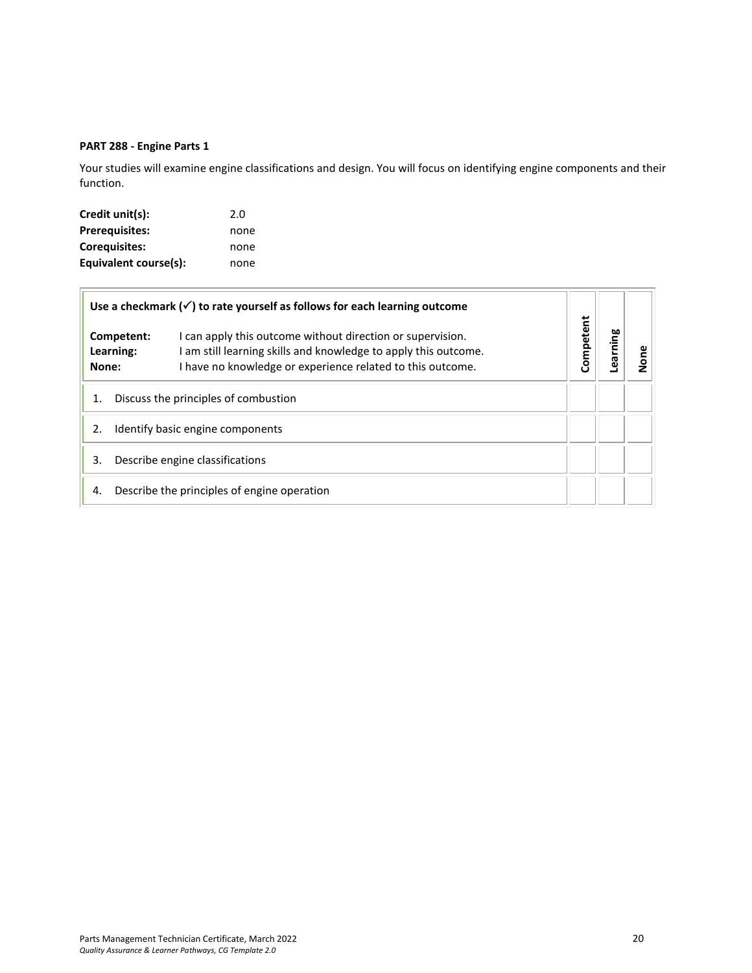## <span id="page-19-0"></span>**PART 288 - Engine Parts 1**

Your studies will examine engine classifications and design. You will focus on identifying engine components and their function.

| Credit unit(s):       | 2.0  |
|-----------------------|------|
| <b>Prerequisites:</b> | none |
| Coreguisites:         | none |
| Equivalent course(s): | none |

|       |                         | Use a checkmark $(\checkmark)$ to rate yourself as follows for each learning outcome                                                                                                        |           |         |      |
|-------|-------------------------|---------------------------------------------------------------------------------------------------------------------------------------------------------------------------------------------|-----------|---------|------|
| None: | Competent:<br>Learning: | I can apply this outcome without direction or supervision.<br>I am still learning skills and knowledge to apply this outcome.<br>I have no knowledge or experience related to this outcome. | Competent | earning | None |
|       |                         | Discuss the principles of combustion                                                                                                                                                        |           |         |      |
| 2.    |                         | Identify basic engine components                                                                                                                                                            |           |         |      |
| 3.    |                         | Describe engine classifications                                                                                                                                                             |           |         |      |
| 4.    |                         | Describe the principles of engine operation                                                                                                                                                 |           |         |      |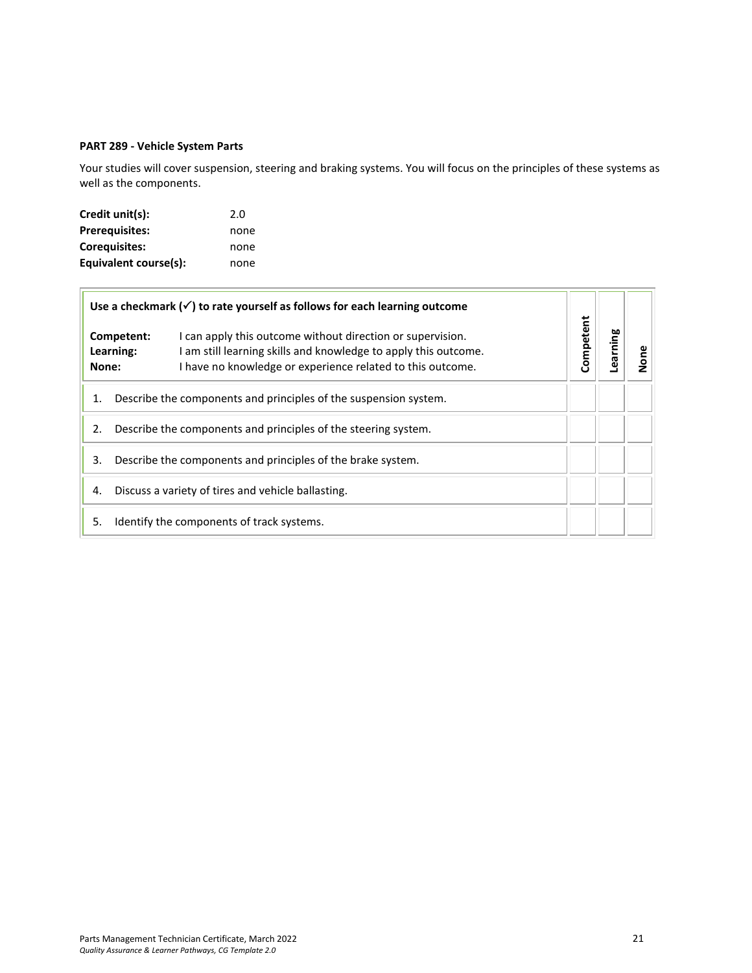## <span id="page-20-0"></span>**PART 289 - Vehicle System Parts**

Your studies will cover suspension, steering and braking systems. You will focus on the principles of these systems as well as the components.

| Credit unit(s):       | 2.0  |
|-----------------------|------|
| <b>Prerequisites:</b> | none |
| <b>Corequisites:</b>  | none |
| Equivalent course(s): | none |

|       | Use a checkmark $(\checkmark)$ to rate yourself as follows for each learning outcome                                                                                                                                   |           |         |      |
|-------|------------------------------------------------------------------------------------------------------------------------------------------------------------------------------------------------------------------------|-----------|---------|------|
| None: | Competent:<br>I can apply this outcome without direction or supervision.<br>I am still learning skills and knowledge to apply this outcome.<br>Learning:<br>I have no knowledge or experience related to this outcome. | Competent | earning | None |
| 1.    | Describe the components and principles of the suspension system.                                                                                                                                                       |           |         |      |
| 2.    | Describe the components and principles of the steering system.                                                                                                                                                         |           |         |      |
| 3.    | Describe the components and principles of the brake system.                                                                                                                                                            |           |         |      |
| 4.    | Discuss a variety of tires and vehicle ballasting.                                                                                                                                                                     |           |         |      |
| 5.    | Identify the components of track systems.                                                                                                                                                                              |           |         |      |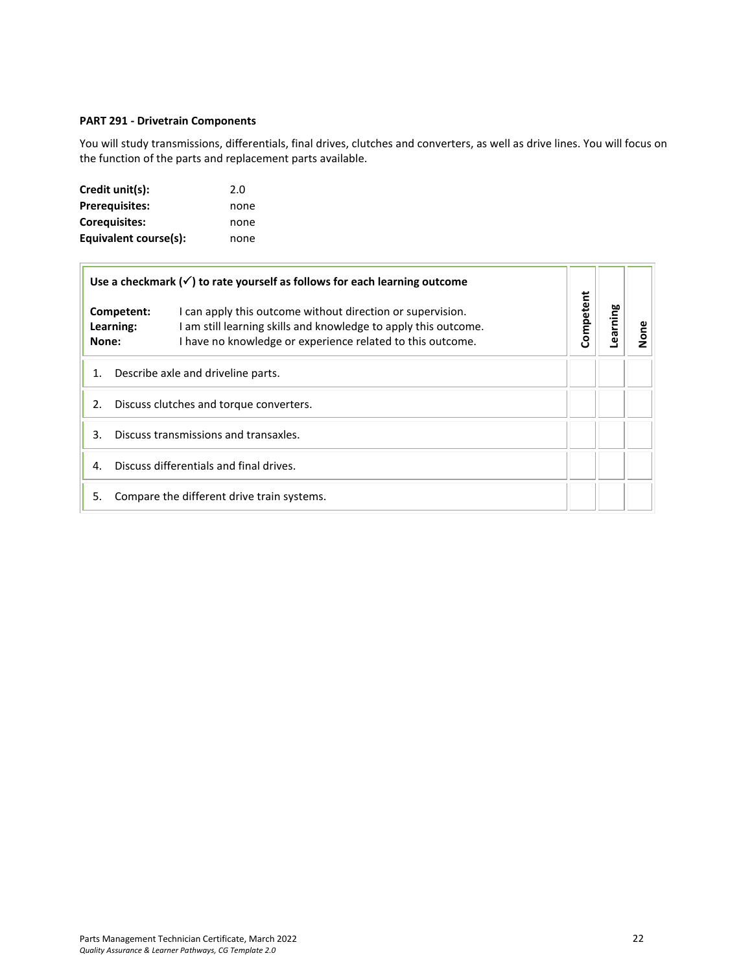## <span id="page-21-0"></span>**PART 291 - Drivetrain Components**

You will study transmissions, differentials, final drives, clutches and converters, as well as drive lines. You will focus on the function of the parts and replacement parts available.

| Credit unit(s):       | 2.0  |
|-----------------------|------|
| <b>Prerequisites:</b> | none |
| <b>Corequisites:</b>  | none |
| Equivalent course(s): | none |

 $\overline{\mathbb{F}}$ 

|                                               | Use a checkmark $(\checkmark)$ to rate yourself as follows for each learning outcome<br>I can apply this outcome without direction or supervision.<br>Competent:<br>I am still learning skills and knowledge to apply this outcome.<br>Learning:<br>I have no knowledge or experience related to this outcome.<br>None: |  |           |         |      |
|-----------------------------------------------|-------------------------------------------------------------------------------------------------------------------------------------------------------------------------------------------------------------------------------------------------------------------------------------------------------------------------|--|-----------|---------|------|
|                                               |                                                                                                                                                                                                                                                                                                                         |  | Competent | earning | None |
| Describe axle and driveline parts.<br>1.      |                                                                                                                                                                                                                                                                                                                         |  |           |         |      |
| Discuss clutches and torque converters.<br>2. |                                                                                                                                                                                                                                                                                                                         |  |           |         |      |
| Discuss transmissions and transaxles.<br>3.   |                                                                                                                                                                                                                                                                                                                         |  |           |         |      |
| Discuss differentials and final drives.<br>4. |                                                                                                                                                                                                                                                                                                                         |  |           |         |      |
| 5.                                            | Compare the different drive train systems.                                                                                                                                                                                                                                                                              |  |           |         |      |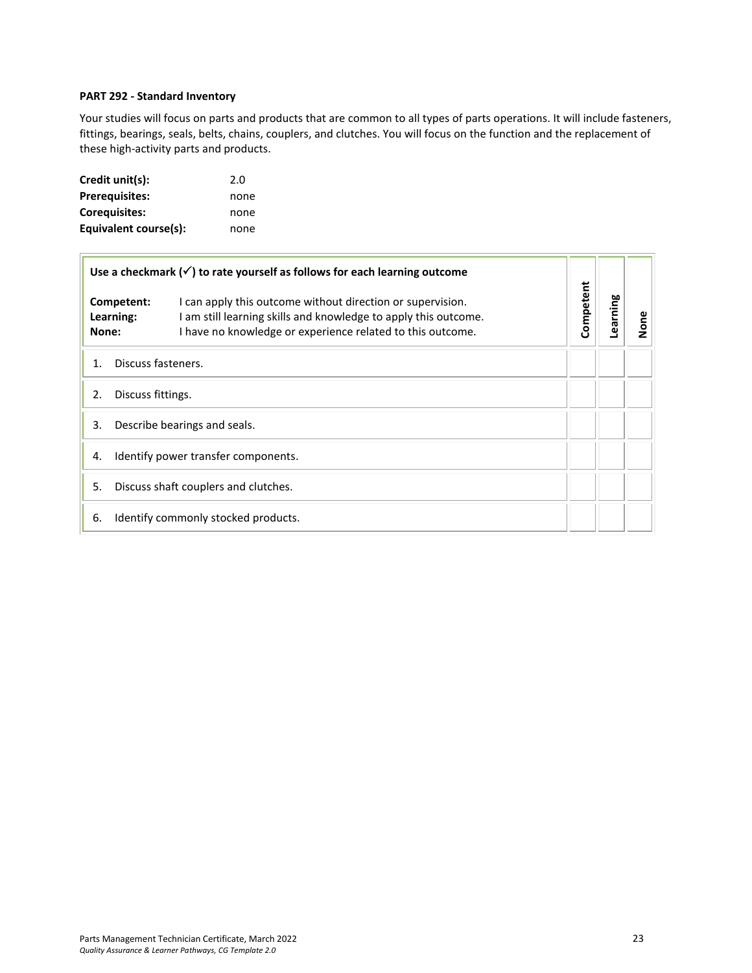#### <span id="page-22-0"></span>**PART 292 - Standard Inventory**

Your studies will focus on parts and products that are common to all types of parts operations. It will include fasteners, fittings, bearings, seals, belts, chains, couplers, and clutches. You will focus on the function and the replacement of these high-activity parts and products.

| Credit unit(s):       | 2.0  |
|-----------------------|------|
| <b>Prerequisites:</b> | none |
| <b>Corequisites:</b>  | none |
| Equivalent course(s): | none |

| Use a checkmark $(\checkmark)$ to rate yourself as follows for each learning outcome |  | Competent                                                                                                                                                                                   |  |          |      |
|--------------------------------------------------------------------------------------|--|---------------------------------------------------------------------------------------------------------------------------------------------------------------------------------------------|--|----------|------|
| Competent:<br>Learning:<br>None:                                                     |  | I can apply this outcome without direction or supervision.<br>I am still learning skills and knowledge to apply this outcome.<br>I have no knowledge or experience related to this outcome. |  | Learning | None |
| Discuss fasteners.<br>1.                                                             |  |                                                                                                                                                                                             |  |          |      |
| 2.<br>Discuss fittings.                                                              |  |                                                                                                                                                                                             |  |          |      |
| 3.<br>Describe bearings and seals.                                                   |  |                                                                                                                                                                                             |  |          |      |
| Identify power transfer components.<br>4.                                            |  |                                                                                                                                                                                             |  |          |      |
| Discuss shaft couplers and clutches.<br>5.                                           |  |                                                                                                                                                                                             |  |          |      |
| Identify commonly stocked products.<br>6.                                            |  |                                                                                                                                                                                             |  |          |      |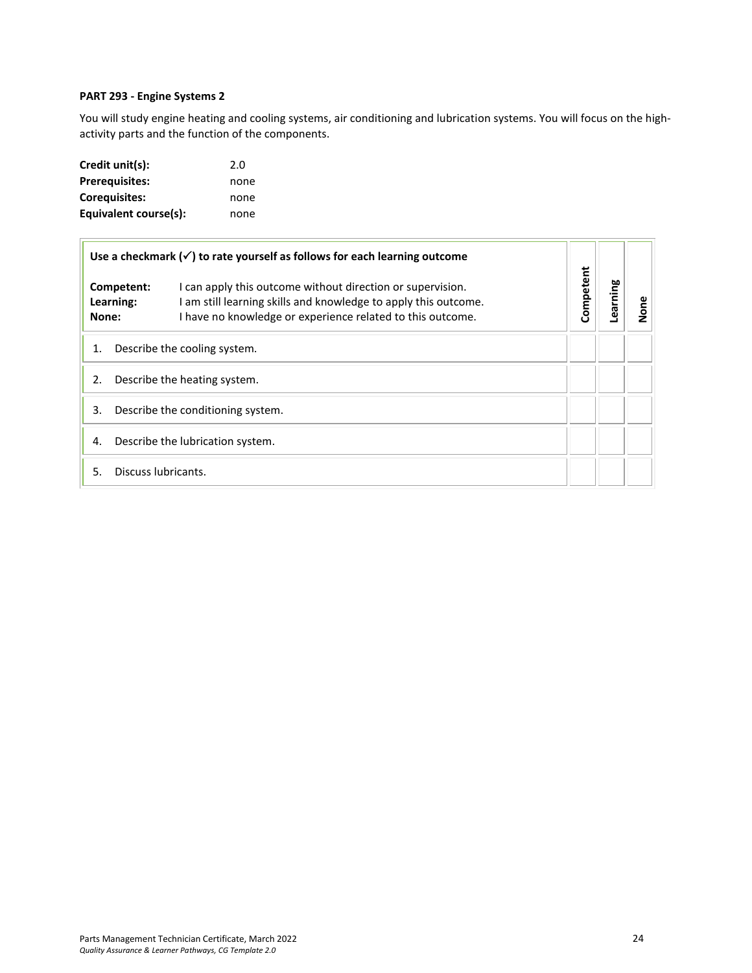## <span id="page-23-0"></span>**PART 293 - Engine Systems 2**

You will study engine heating and cooling systems, air conditioning and lubrication systems. You will focus on the highactivity parts and the function of the components.

| Credit unit(s):       | 2.0  |
|-----------------------|------|
| <b>Prerequisites:</b> | none |
| <b>Corequisites:</b>  | none |
| Equivalent course(s): | none |

| Use a checkmark $(\checkmark)$ to rate yourself as follows for each learning outcome |                                                                                                                                                                                             | Competent |         |      |
|--------------------------------------------------------------------------------------|---------------------------------------------------------------------------------------------------------------------------------------------------------------------------------------------|-----------|---------|------|
| Competent:<br>Learning:<br>None:                                                     | I can apply this outcome without direction or supervision.<br>I am still learning skills and knowledge to apply this outcome.<br>I have no knowledge or experience related to this outcome. |           | earning | None |
| Describe the cooling system.<br>1.                                                   |                                                                                                                                                                                             |           |         |      |
| Describe the heating system.<br>2.                                                   |                                                                                                                                                                                             |           |         |      |
| Describe the conditioning system.<br>3.                                              |                                                                                                                                                                                             |           |         |      |
| Describe the lubrication system.<br>4.                                               |                                                                                                                                                                                             |           |         |      |
| 5.                                                                                   | Discuss lubricants.                                                                                                                                                                         |           |         |      |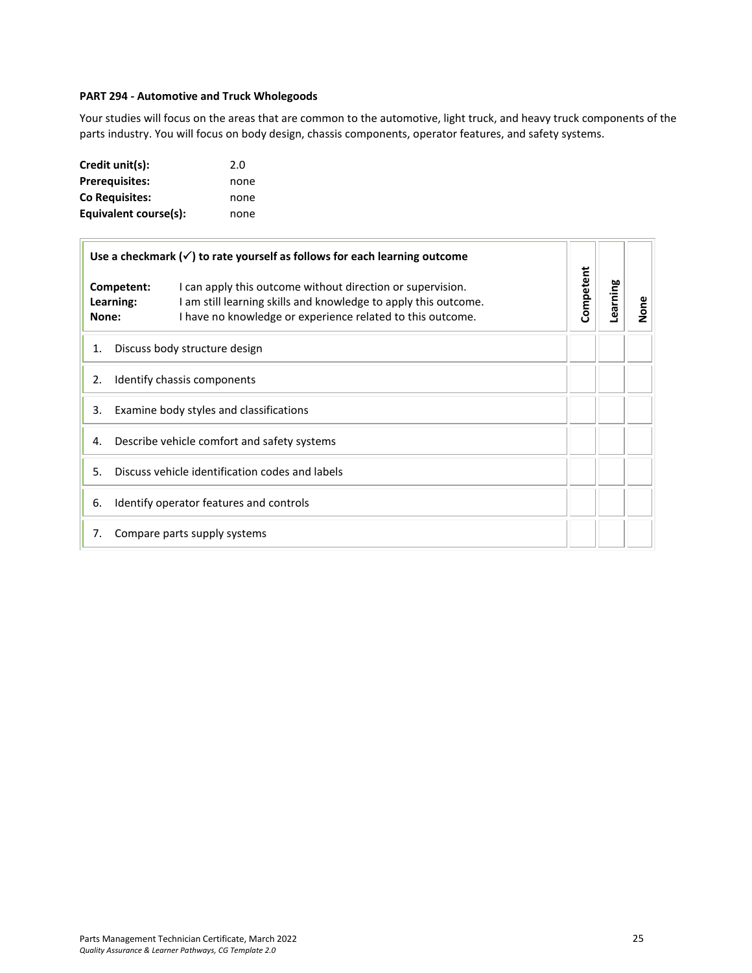## <span id="page-24-0"></span>**PART 294 - Automotive and Truck Wholegoods**

Your studies will focus on the areas that are common to the automotive, light truck, and heavy truck components of the parts industry. You will focus on body design, chassis components, operator features, and safety systems.

| Credit unit(s):       | 2.0  |
|-----------------------|------|
| <b>Prerequisites:</b> | none |
| <b>Co Requisites:</b> | none |
| Equivalent course(s): | none |

| Use a checkmark $(\checkmark)$ to rate yourself as follows for each learning outcome |                                                                                                                                                                                             | Competent |          |           |
|--------------------------------------------------------------------------------------|---------------------------------------------------------------------------------------------------------------------------------------------------------------------------------------------|-----------|----------|-----------|
| Competent:<br>Learning:<br>None:                                                     | I can apply this outcome without direction or supervision.<br>I am still learning skills and knowledge to apply this outcome.<br>I have no knowledge or experience related to this outcome. |           | Learning | ω<br>None |
| 1.                                                                                   | Discuss body structure design                                                                                                                                                               |           |          |           |
| Identify chassis components<br>2.                                                    |                                                                                                                                                                                             |           |          |           |
| 3.<br>Examine body styles and classifications                                        |                                                                                                                                                                                             |           |          |           |
| Describe vehicle comfort and safety systems<br>4.                                    |                                                                                                                                                                                             |           |          |           |
| Discuss vehicle identification codes and labels<br>5.                                |                                                                                                                                                                                             |           |          |           |
| Identify operator features and controls<br>6.                                        |                                                                                                                                                                                             |           |          |           |
| 7.<br>Compare parts supply systems                                                   |                                                                                                                                                                                             |           |          |           |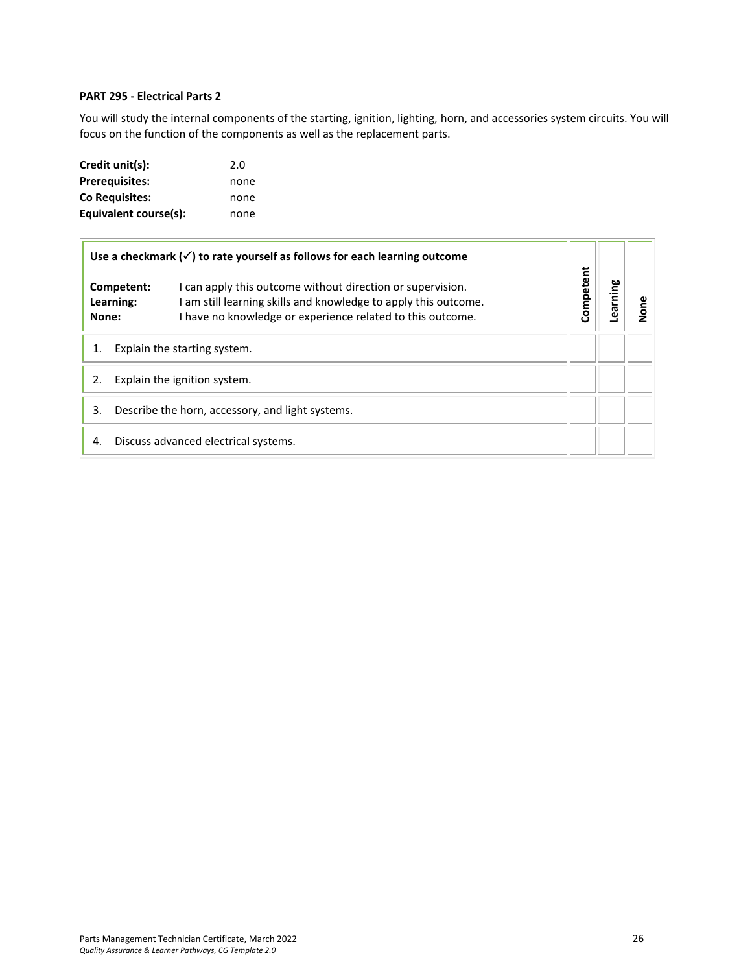## **PART 295 - Electrical Parts 2**

You will study the internal components of the starting, ignition, lighting, horn, and accessories system circuits. You will focus on the function of the components as well as the replacement parts.

| Credit unit(s):       | 2.0  |
|-----------------------|------|
| <b>Prerequisites:</b> | none |
| <b>Co Requisites:</b> | none |
| Equivalent course(s): | none |

|                                                        | Use a checkmark $(\checkmark)$ to rate yourself as follows for each learning outcome                                                                                                                                   |  |           |         |      |
|--------------------------------------------------------|------------------------------------------------------------------------------------------------------------------------------------------------------------------------------------------------------------------------|--|-----------|---------|------|
| None:                                                  | I can apply this outcome without direction or supervision.<br>Competent:<br>I am still learning skills and knowledge to apply this outcome.<br>Learning:<br>I have no knowledge or experience related to this outcome. |  | Competent | earning | None |
| Explain the starting system.                           |                                                                                                                                                                                                                        |  |           |         |      |
| Explain the ignition system.                           |                                                                                                                                                                                                                        |  |           |         |      |
| Describe the horn, accessory, and light systems.<br>3. |                                                                                                                                                                                                                        |  |           |         |      |
| 4.                                                     | Discuss advanced electrical systems.                                                                                                                                                                                   |  |           |         |      |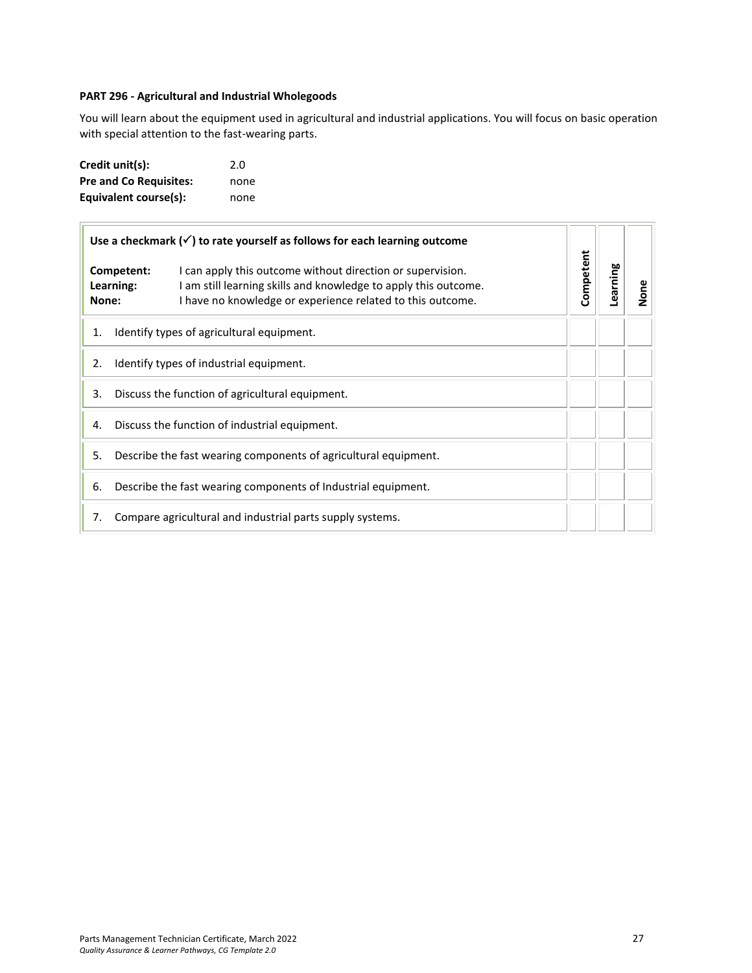## <span id="page-26-0"></span>**PART 296 - Agricultural and Industrial Wholegoods**

You will learn about the equipment used in agricultural and industrial applications. You will focus on basic operation with special attention to the fast-wearing parts.

| Credit unit(s):               | 2.0  |
|-------------------------------|------|
| <b>Pre and Co Requisites:</b> | none |
| Equivalent course(s):         | none |

| Use a checkmark $(\checkmark)$ to rate yourself as follows for each learning outcome |                                                               | Competent                                                                                                                                                                                   |  |          |      |
|--------------------------------------------------------------------------------------|---------------------------------------------------------------|---------------------------------------------------------------------------------------------------------------------------------------------------------------------------------------------|--|----------|------|
| None:                                                                                | Competent:<br>Learning:                                       | I can apply this outcome without direction or supervision.<br>I am still learning skills and knowledge to apply this outcome.<br>I have no knowledge or experience related to this outcome. |  | Learning | None |
| 1.                                                                                   |                                                               | Identify types of agricultural equipment.                                                                                                                                                   |  |          |      |
| Identify types of industrial equipment.<br>2.                                        |                                                               |                                                                                                                                                                                             |  |          |      |
| 3.<br>Discuss the function of agricultural equipment.                                |                                                               |                                                                                                                                                                                             |  |          |      |
| Discuss the function of industrial equipment.<br>4.                                  |                                                               |                                                                                                                                                                                             |  |          |      |
| Describe the fast wearing components of agricultural equipment.<br>5.                |                                                               |                                                                                                                                                                                             |  |          |      |
| 6.                                                                                   | Describe the fast wearing components of Industrial equipment. |                                                                                                                                                                                             |  |          |      |
| 7.<br>Compare agricultural and industrial parts supply systems.                      |                                                               |                                                                                                                                                                                             |  |          |      |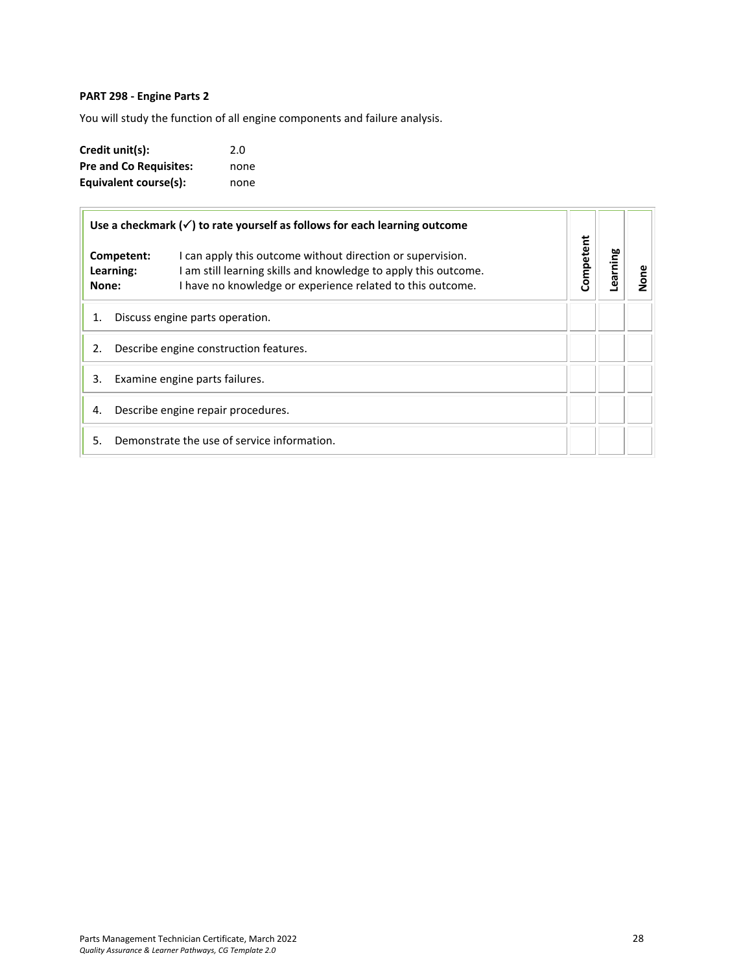## <span id="page-27-0"></span>**PART 298 - Engine Parts 2**

You will study the function of all engine components and failure analysis.

| Credit unit(s):               | 2.0  |
|-------------------------------|------|
| <b>Pre and Co Requisites:</b> | none |
| Equivalent course(s):         | none |

|                    | Use a checkmark $(\checkmark)$ to rate yourself as follows for each learning outcome                                                                                                                      |           |         |      |
|--------------------|-----------------------------------------------------------------------------------------------------------------------------------------------------------------------------------------------------------|-----------|---------|------|
| Learning:<br>None: | I can apply this outcome without direction or supervision.<br>Competent:<br>I am still learning skills and knowledge to apply this outcome.<br>I have no knowledge or experience related to this outcome. | Competent | earning | None |
| 1.                 | Discuss engine parts operation.                                                                                                                                                                           |           |         |      |
| 2.                 | Describe engine construction features.                                                                                                                                                                    |           |         |      |
| 3.                 | Examine engine parts failures.                                                                                                                                                                            |           |         |      |
| 4.                 | Describe engine repair procedures.                                                                                                                                                                        |           |         |      |
| 5.                 | Demonstrate the use of service information.                                                                                                                                                               |           |         |      |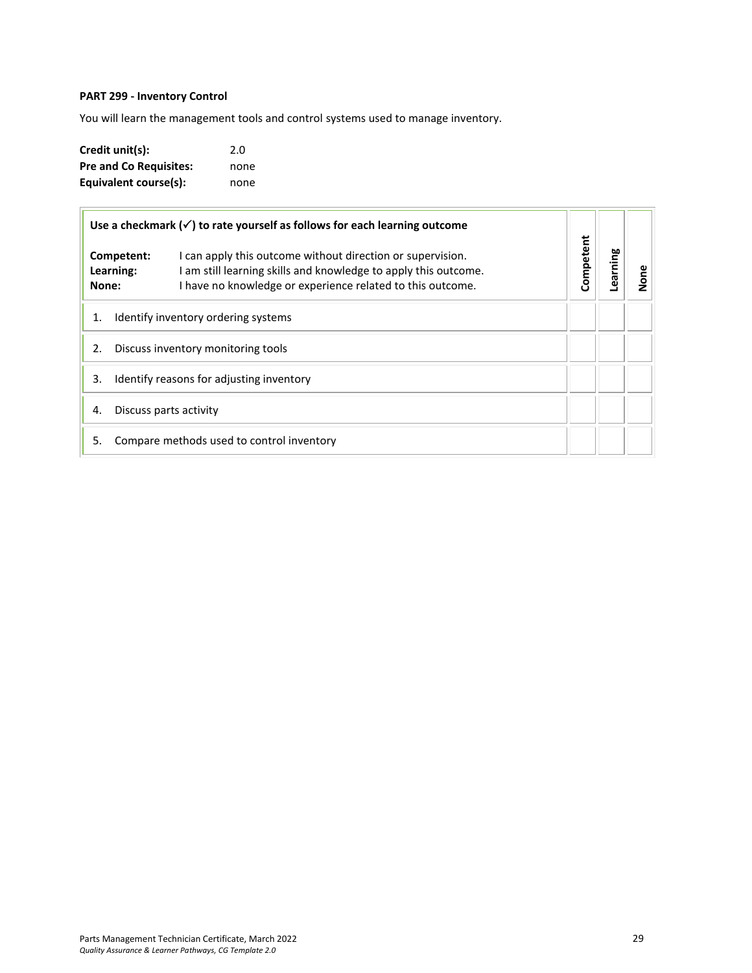## <span id="page-28-0"></span>**PART 299 - Inventory Control**

You will learn the management tools and control systems used to manage inventory.

| Credit unit(s):               | 2.0  |
|-------------------------------|------|
| <b>Pre and Co Requisites:</b> | none |
| Equivalent course(s):         | none |

| Use a checkmark $(\checkmark)$ to rate yourself as follows for each learning outcome |                                                                                                                                                                                                                        |           |          |      |
|--------------------------------------------------------------------------------------|------------------------------------------------------------------------------------------------------------------------------------------------------------------------------------------------------------------------|-----------|----------|------|
| None:                                                                                | I can apply this outcome without direction or supervision.<br>Competent:<br>I am still learning skills and knowledge to apply this outcome.<br>Learning:<br>I have no knowledge or experience related to this outcome. | Competent | Learning | None |
| 1.                                                                                   | Identify inventory ordering systems                                                                                                                                                                                    |           |          |      |
| 2.                                                                                   | Discuss inventory monitoring tools                                                                                                                                                                                     |           |          |      |
| 3.                                                                                   | Identify reasons for adjusting inventory                                                                                                                                                                               |           |          |      |
| 4.                                                                                   | Discuss parts activity                                                                                                                                                                                                 |           |          |      |
| 5.                                                                                   | Compare methods used to control inventory                                                                                                                                                                              |           |          |      |